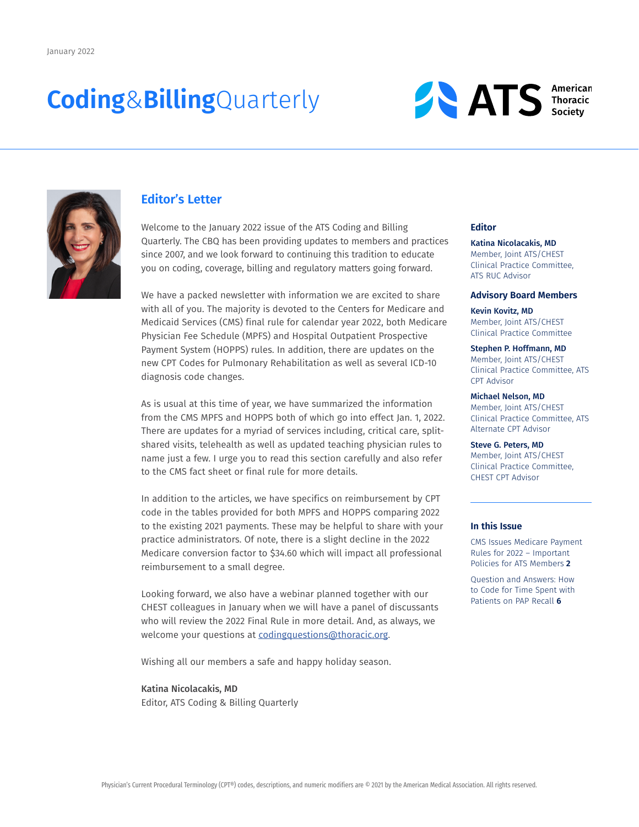# **Coding**&**Billing**Quarterly





### **Editor's Letter**

Welcome to the January 2022 issue of the ATS Coding and Billing Quarterly. The CBQ has been providing updates to members and practices since 2007, and we look forward to continuing this tradition to educate you on coding, coverage, billing and regulatory matters going forward.

We have a packed newsletter with information we are excited to share with all of you. The majority is devoted to the Centers for Medicare and Medicaid Services (CMS) final rule for calendar year 2022, both Medicare Physician Fee Schedule (MPFS) and Hospital Outpatient Prospective Payment System (HOPPS) rules. In addition, there are updates on the new CPT Codes for Pulmonary Rehabilitation as well as several ICD-10 diagnosis code changes.

As is usual at this time of year, we have summarized the information from the CMS MPFS and HOPPS both of which go into effect Jan. 1, 2022. There are updates for a myriad of services including, critical care, splitshared visits, telehealth as well as updated teaching physician rules to name just a few. I urge you to read this section carefully and also refer to the CMS fact sheet or final rule for more details.

In addition to the articles, we have specifics on reimbursement by CPT code in the tables provided for both MPFS and HOPPS comparing 2022 to the existing 2021 payments. These may be helpful to share with your practice administrators. Of note, there is a slight decline in the 2022 Medicare conversion factor to \$34.60 which will impact all professional reimbursement to a small degree.

Looking forward, we also have a webinar planned together with our CHEST colleagues in January when we will have a panel of discussants who will review the 2022 Final Rule in more detail. And, as always, we welcome your questions at [codingquestions@thoracic.org.](mailto:codingquestions@thoracic.org)

Wishing all our members a safe and happy holiday season.

### Katina Nicolacakis, MD Editor, ATS Coding & Billing Quarterly

#### **Editor**

Katina Nicolacakis, MD Member, Joint ATS/CHEST Clinical Practice Committee, ATS RUC Advisor

### **Advisory Board Members**

Kevin Kovitz, MD Member, Joint ATS/CHEST Clinical Practice Committee

Stephen P. Hoffmann, MD Member, Joint ATS/CHEST Clinical Practice Committee, ATS CPT Advisor

### Michael Nelson, MD

Member, Joint ATS/CHEST Clinical Practice Committee, ATS Alternate CPT Advisor

Steve G. Peters, MD Member, Joint ATS/CHEST Clinical Practice Committee, CHEST CPT Advisor

### **In this Issue**

CMS Issues Medicare Payment Rules for 2022 – Important Policies for ATS Members **2**

Question and Answers: How to Code for Time Spent with Patients on PAP Recall **6**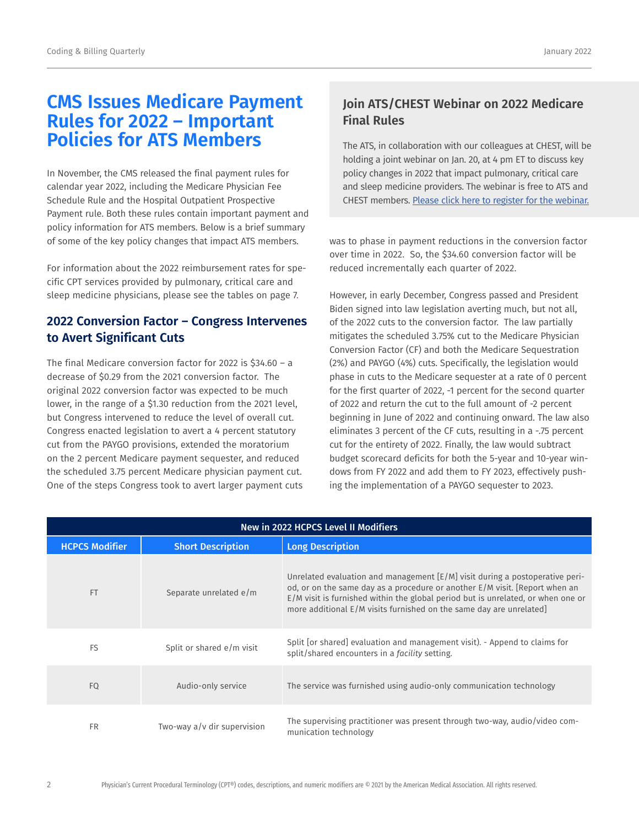# **CMS Issues Medicare Payment Rules for 2022 – Important Policies for ATS Members**

In November, the CMS released the final payment rules for calendar year 2022, including the Medicare Physician Fee Schedule Rule and the Hospital Outpatient Prospective Payment rule. Both these rules contain important payment and policy information for ATS members. Below is a brief summary of some of the key policy changes that impact ATS members.

For information about the 2022 reimbursement rates for specific CPT services provided by pulmonary, critical care and sleep medicine physicians, please see the tables on page 7.

# **2022 Conversion Factor – Congress Intervenes to Avert Significant Cuts**

The final Medicare conversion factor for 2022 is  $$34.60 - a$ decrease of \$0.29 from the 2021 conversion factor. The original 2022 conversion factor was expected to be much lower, in the range of a \$1.30 reduction from the 2021 level, but Congress intervened to reduce the level of overall cut. Congress enacted legislation to avert a 4 percent statutory cut from the PAYGO provisions, extended the moratorium on the 2 percent Medicare payment sequester, and reduced the scheduled 3.75 percent Medicare physician payment cut. One of the steps Congress took to avert larger payment cuts

# **Join ATS/CHEST Webinar on 2022 Medicare Final Rules**

The ATS, in collaboration with our colleagues at CHEST, will be holding a joint webinar on Jan. 20, at 4 pm ET to discuss key policy changes in 2022 that impact pulmonary, critical care and sleep medicine providers. The webinar is free to ATS and CHEST members. [Please click here to register for the webinar.](https://thoracic.zoom.us/meeting/register/tJ0odu-qqTspG9ClLMdFwFzFaCUETUd0Djrh)

was to phase in payment reductions in the conversion factor over time in 2022. So, the \$34.60 conversion factor will be reduced incrementally each quarter of 2022.

However, in early December, Congress passed and President Biden signed into law legislation averting much, but not all, of the 2022 cuts to the conversion factor. The law partially mitigates the scheduled 3.75% cut to the Medicare Physician Conversion Factor (CF) and both the Medicare Sequestration (2%) and PAYGO (4%) cuts. Specifically, the legislation would phase in cuts to the Medicare sequester at a rate of 0 percent for the first quarter of 2022, -1 percent for the second quarter of 2022 and return the cut to the full amount of -2 percent beginning in June of 2022 and continuing onward. The law also eliminates 3 percent of the CF cuts, resulting in a -.75 percent cut for the entirety of 2022. Finally, the law would subtract budget scorecard deficits for both the 5-year and 10-year windows from FY 2022 and add them to FY 2023, effectively pushing the implementation of a PAYGO sequester to 2023.

|                       |                             | <b>New in 2022 HCPCS Level II Modifiers</b>                                                                                                                                                                                                                                                                             |
|-----------------------|-----------------------------|-------------------------------------------------------------------------------------------------------------------------------------------------------------------------------------------------------------------------------------------------------------------------------------------------------------------------|
| <b>HCPCS Modifier</b> | <b>Short Description</b>    | <b>Long Description</b>                                                                                                                                                                                                                                                                                                 |
| <b>FT</b>             | Separate unrelated e/m      | Unrelated evaluation and management $[E/M]$ visit during a postoperative peri-<br>od, or on the same day as a procedure or another E/M visit. [Report when an<br>E/M visit is furnished within the global period but is unrelated, or when one or<br>more additional E/M visits furnished on the same day are unrelated |
| FS                    | Split or shared e/m visit   | Split [or shared] evaluation and management visit). - Append to claims for<br>split/shared encounters in a facility setting.                                                                                                                                                                                            |
| F <sub>Q</sub>        | Audio-only service          | The service was furnished using audio-only communication technology                                                                                                                                                                                                                                                     |
| <b>FR</b>             | Two-way a/v dir supervision | The supervising practitioner was present through two-way, audio/video com-<br>munication technology                                                                                                                                                                                                                     |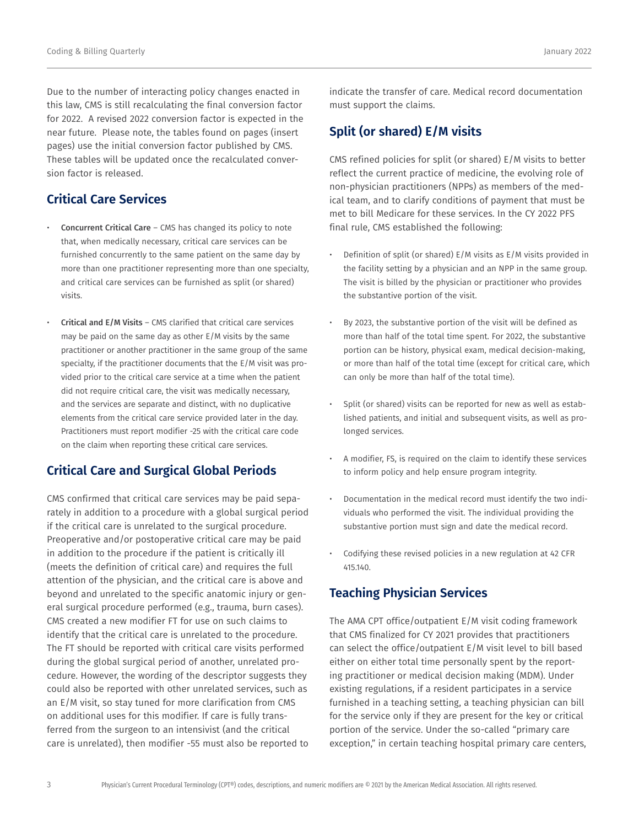Due to the number of interacting policy changes enacted in this law, CMS is still recalculating the final conversion factor for 2022. A revised 2022 conversion factor is expected in the near future. Please note, the tables found on pages (insert pages) use the initial conversion factor published by CMS. These tables will be updated once the recalculated conversion factor is released.

# **Critical Care Services**

- Concurrent Critical Care CMS has changed its policy to note that, when medically necessary, critical care services can be furnished concurrently to the same patient on the same day by more than one practitioner representing more than one specialty, and critical care services can be furnished as split (or shared) visits.
- Critical and E/M Visits CMS clarified that critical care services may be paid on the same day as other E/M visits by the same practitioner or another practitioner in the same group of the same specialty, if the practitioner documents that the E/M visit was provided prior to the critical care service at a time when the patient did not require critical care, the visit was medically necessary, and the services are separate and distinct, with no duplicative elements from the critical care service provided later in the day. Practitioners must report modifier -25 with the critical care code on the claim when reporting these critical care services.

# **Critical Care and Surgical Global Periods**

CMS confirmed that critical care services may be paid separately in addition to a procedure with a global surgical period if the critical care is unrelated to the surgical procedure. Preoperative and/or postoperative critical care may be paid in addition to the procedure if the patient is critically ill (meets the definition of critical care) and requires the full attention of the physician, and the critical care is above and beyond and unrelated to the specific anatomic injury or general surgical procedure performed (e.g., trauma, burn cases). CMS created a new modifier FT for use on such claims to identify that the critical care is unrelated to the procedure. The FT should be reported with critical care visits performed during the global surgical period of another, unrelated procedure. However, the wording of the descriptor suggests they could also be reported with other unrelated services, such as an E/M visit, so stay tuned for more clarification from CMS on additional uses for this modifier. If care is fully transferred from the surgeon to an intensivist (and the critical care is unrelated), then modifier -55 must also be reported to indicate the transfer of care. Medical record documentation must support the claims.

# **Split (or shared) E/M visits**

CMS refined policies for split (or shared) E/M visits to better reflect the current practice of medicine, the evolving role of non-physician practitioners (NPPs) as members of the medical team, and to clarify conditions of payment that must be met to bill Medicare for these services. In the CY 2022 PFS final rule, CMS established the following:

- Definition of split (or shared) E/M visits as E/M visits provided in the facility setting by a physician and an NPP in the same group. The visit is billed by the physician or practitioner who provides the substantive portion of the visit.
- By 2023, the substantive portion of the visit will be defined as more than half of the total time spent. For 2022, the substantive portion can be history, physical exam, medical decision-making, or more than half of the total time (except for critical care, which can only be more than half of the total time).
- Split (or shared) visits can be reported for new as well as established patients, and initial and subsequent visits, as well as prolonged services.
- A modifier, FS, is required on the claim to identify these services to inform policy and help ensure program integrity.
- Documentation in the medical record must identify the two individuals who performed the visit. The individual providing the substantive portion must sign and date the medical record.
- Codifying these revised policies in a new regulation at 42 CFR 415.140.

# **Teaching Physician Services**

The AMA CPT office/outpatient E/M visit coding framework that CMS finalized for CY 2021 provides that practitioners can select the office/outpatient E/M visit level to bill based either on either total time personally spent by the reporting practitioner or medical decision making (MDM). Under existing regulations, if a resident participates in a service furnished in a teaching setting, a teaching physician can bill for the service only if they are present for the key or critical portion of the service. Under the so-called "primary care exception," in certain teaching hospital primary care centers,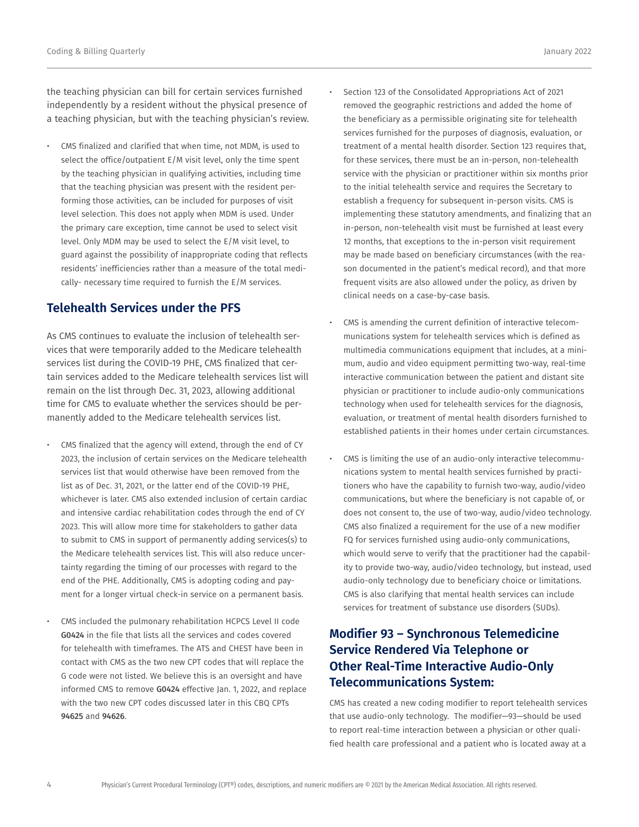the teaching physician can bill for certain services furnished independently by a resident without the physical presence of a teaching physician, but with the teaching physician's review.

• CMS finalized and clarified that when time, not MDM, is used to select the office/outpatient E/M visit level, only the time spent by the teaching physician in qualifying activities, including time that the teaching physician was present with the resident performing those activities, can be included for purposes of visit level selection. This does not apply when MDM is used. Under the primary care exception, time cannot be used to select visit level. Only MDM may be used to select the E/M visit level, to guard against the possibility of inappropriate coding that reflects residents' inefficiencies rather than a measure of the total medically- necessary time required to furnish the E/M services.

# **Telehealth Services under the PFS**

As CMS continues to evaluate the inclusion of telehealth services that were temporarily added to the Medicare telehealth services list during the COVID-19 PHE, CMS finalized that certain services added to the Medicare telehealth services list will remain on the list through Dec. 31, 2023, allowing additional time for CMS to evaluate whether the services should be permanently added to the Medicare telehealth services list.

- CMS finalized that the agency will extend, through the end of CY 2023, the inclusion of certain services on the Medicare telehealth services list that would otherwise have been removed from the list as of Dec. 31, 2021, or the latter end of the COVID-19 PHE, whichever is later. CMS also extended inclusion of certain cardiac and intensive cardiac rehabilitation codes through the end of CY 2023. This will allow more time for stakeholders to gather data to submit to CMS in support of permanently adding services(s) to the Medicare telehealth services list. This will also reduce uncertainty regarding the timing of our processes with regard to the end of the PHE. Additionally, CMS is adopting coding and payment for a longer virtual check-in service on a permanent basis.
- CMS included the pulmonary rehabilitation HCPCS Level II code G0424 in the file that lists all the services and codes covered for telehealth with timeframes. The ATS and CHEST have been in contact with CMS as the two new CPT codes that will replace the G code were not listed. We believe this is an oversight and have informed CMS to remove G0424 effective Jan. 1, 2022, and replace with the two new CPT codes discussed later in this CBQ CPTs 94625 and 94626.
- Section 123 of the Consolidated Appropriations Act of 2021 removed the geographic restrictions and added the home of the beneficiary as a permissible originating site for telehealth services furnished for the purposes of diagnosis, evaluation, or treatment of a mental health disorder. Section 123 requires that, for these services, there must be an in-person, non-telehealth service with the physician or practitioner within six months prior to the initial telehealth service and requires the Secretary to establish a frequency for subsequent in-person visits. CMS is implementing these statutory amendments, and finalizing that an in-person, non-telehealth visit must be furnished at least every 12 months, that exceptions to the in-person visit requirement may be made based on beneficiary circumstances (with the reason documented in the patient's medical record), and that more frequent visits are also allowed under the policy, as driven by clinical needs on a case-by-case basis.
- CMS is amending the current definition of interactive telecommunications system for telehealth services which is defined as multimedia communications equipment that includes, at a minimum, audio and video equipment permitting two-way, real-time interactive communication between the patient and distant site physician or practitioner to include audio-only communications technology when used for telehealth services for the diagnosis, evaluation, or treatment of mental health disorders furnished to established patients in their homes under certain circumstances.
- CMS is limiting the use of an audio-only interactive telecommunications system to mental health services furnished by practitioners who have the capability to furnish two-way, audio/video communications, but where the beneficiary is not capable of, or does not consent to, the use of two-way, audio/video technology. CMS also finalized a requirement for the use of a new modifier FQ for services furnished using audio-only communications, which would serve to verify that the practitioner had the capability to provide two-way, audio/video technology, but instead, used audio-only technology due to beneficiary choice or limitations. CMS is also clarifying that mental health services can include services for treatment of substance use disorders (SUDs).

# **Modifier 93 – Synchronous Telemedicine Service Rendered Via Telephone or Other Real-Time Interactive Audio-Only Telecommunications System:**

CMS has created a new coding modifier to report telehealth services that use audio-only technology. The modifier—93—should be used to report real-time interaction between a physician or other qualified health care professional and a patient who is located away at a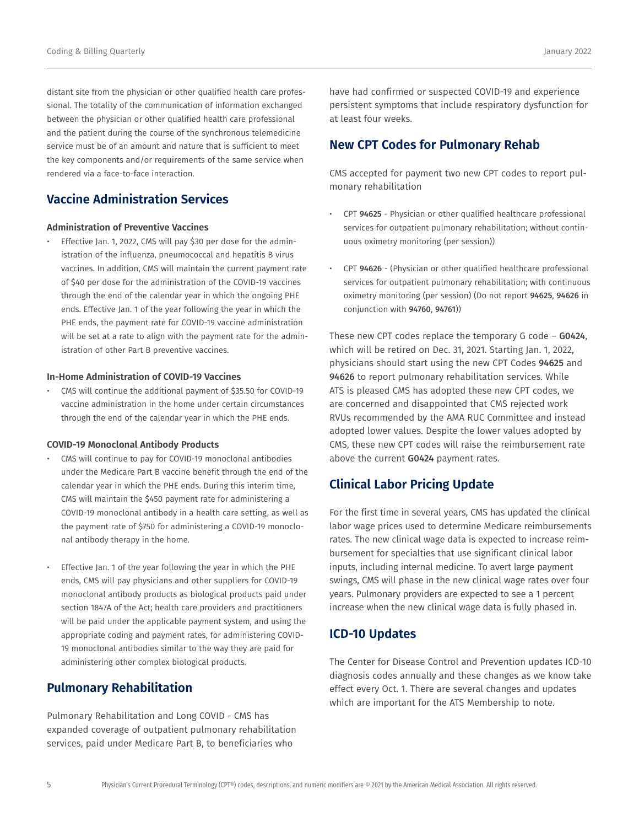distant site from the physician or other qualified health care professional. The totality of the communication of information exchanged between the physician or other qualified health care professional and the patient during the course of the synchronous telemedicine service must be of an amount and nature that is sufficient to meet the key components and/or requirements of the same service when rendered via a face-to-face interaction.

# **Vaccine Administration Services**

### **Administration of Preventive Vaccines**

Effective Jan. 1, 2022, CMS will pay \$30 per dose for the administration of the influenza, pneumococcal and hepatitis B virus vaccines. In addition, CMS will maintain the current payment rate of \$40 per dose for the administration of the COVID-19 vaccines through the end of the calendar year in which the ongoing PHE ends. Effective Jan. 1 of the year following the year in which the PHE ends, the payment rate for COVID-19 vaccine administration will be set at a rate to align with the payment rate for the administration of other Part B preventive vaccines.

### **In-Home Administration of COVID-19 Vaccines**

• CMS will continue the additional payment of \$35.50 for COVID-19 vaccine administration in the home under certain circumstances through the end of the calendar year in which the PHE ends.

### **COVID-19 Monoclonal Antibody Products**

- CMS will continue to pay for COVID-19 monoclonal antibodies under the Medicare Part B vaccine benefit through the end of the calendar year in which the PHE ends. During this interim time, CMS will maintain the \$450 payment rate for administering a COVID-19 monoclonal antibody in a health care setting, as well as the payment rate of \$750 for administering a COVID-19 monoclonal antibody therapy in the home.
- Effective Jan. 1 of the year following the year in which the PHE ends, CMS will pay physicians and other suppliers for COVID-19 monoclonal antibody products as biological products paid under section 1847A of the Act; health care providers and practitioners will be paid under the applicable payment system, and using the appropriate coding and payment rates, for administering COVID-19 monoclonal antibodies similar to the way they are paid for administering other complex biological products.

## **Pulmonary Rehabilitation**

Pulmonary Rehabilitation and Long COVID - CMS has expanded coverage of outpatient pulmonary rehabilitation services, paid under Medicare Part B, to beneficiaries who

have had confirmed or suspected COVID-19 and experience persistent symptoms that include respiratory dysfunction for at least four weeks.

# **New CPT Codes for Pulmonary Rehab**

CMS accepted for payment two new CPT codes to report pulmonary rehabilitation

- CPT 94625 Physician or other qualified healthcare professional services for outpatient pulmonary rehabilitation; without continuous oximetry monitoring (per session))
- CPT 94626 (Physician or other qualified healthcare professional services for outpatient pulmonary rehabilitation; with continuous oximetry monitoring (per session) (Do not report 94625, 94626 in conjunction with 94760, 94761))

These new CPT codes replace the temporary G code – G0424, which will be retired on Dec. 31, 2021. Starting Jan. 1, 2022, physicians should start using the new CPT Codes 94625 and 94626 to report pulmonary rehabilitation services. While ATS is pleased CMS has adopted these new CPT codes, we are concerned and disappointed that CMS rejected work RVUs recommended by the AMA RUC Committee and instead adopted lower values. Despite the lower values adopted by CMS, these new CPT codes will raise the reimbursement rate above the current G0424 payment rates.

# **Clinical Labor Pricing Update**

For the first time in several years, CMS has updated the clinical labor wage prices used to determine Medicare reimbursements rates. The new clinical wage data is expected to increase reimbursement for specialties that use significant clinical labor inputs, including internal medicine. To avert large payment swings, CMS will phase in the new clinical wage rates over four years. Pulmonary providers are expected to see a 1 percent increase when the new clinical wage data is fully phased in.

## **ICD-10 Updates**

The Center for Disease Control and Prevention updates ICD-10 diagnosis codes annually and these changes as we know take effect every Oct. 1. There are several changes and updates which are important for the ATS Membership to note.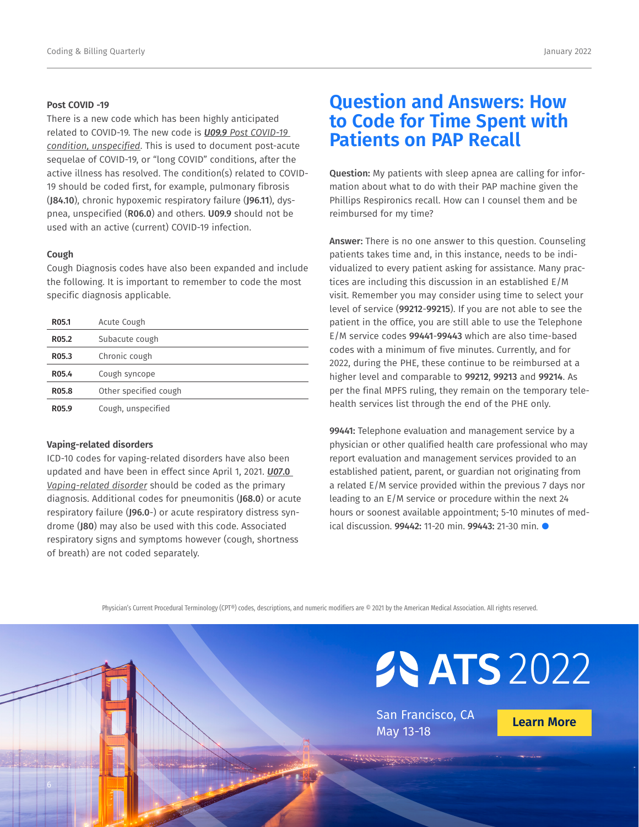### **Post COVID -19**

There is a new code which has been highly anticipated related to COVID-19. The new code is *U09.9 Post COVID-19 condition, unspecified*. This is used to document post-acute sequelae of COVID-19, or "long COVID" conditions, after the active illness has resolved. The condition(s) related to COVID-19 should be coded first, for example, pulmonary fibrosis (J84.10), chronic hypoxemic respiratory failure (J96.11), dyspnea, unspecified (R06.0) and others. U09.9 should not be used with an active (current) COVID-19 infection.

### **Cough**

Cough Diagnosis codes have also been expanded and include the following. It is important to remember to code the most specific diagnosis applicable.

| R05.1 | Acute Cough           |
|-------|-----------------------|
| R05.2 | Subacute cough        |
| R05.3 | Chronic cough         |
| R05.4 | Cough syncope         |
| R05.8 | Other specified cough |
| R05.9 | Cough, unspecified    |

### **Vaping-related disorders**

ICD-10 codes for vaping-related disorders have also been updated and have been in effect since April 1, 2021. *U07*.0 *Vaping-related disorder* should be coded as the primary diagnosis. Additional codes for pneumonitis (J68.0) or acute respiratory failure (J96.0-) or acute respiratory distress syndrome (J80) may also be used with this code. Associated respiratory signs and symptoms however (cough, shortness of breath) are not coded separately.

# **Question and Answers: How to Code for Time Spent with Patients on PAP Recall**

Question: My patients with sleep apnea are calling for information about what to do with their PAP machine given the Phillips Respironics recall. How can I counsel them and be reimbursed for my time?

Answer: There is no one answer to this question. Counseling patients takes time and, in this instance, needs to be individualized to every patient asking for assistance. Many practices are including this discussion in an established E/M visit. Remember you may consider using time to select your level of service (99212-99215). If you are not able to see the patient in the office, you are still able to use the Telephone E/M service codes 99441-99443 which are also time-based codes with a minimum of five minutes. Currently, and for 2022, during the PHE, these continue to be reimbursed at a higher level and comparable to 99212, 99213 and 99214. As per the final MPFS ruling, they remain on the temporary telehealth services list through the end of the PHE only.

99441: Telephone evaluation and management service by a physician or other qualified health care professional who may report evaluation and management services provided to an established patient, parent, or guardian not originating from a related E/M service provided within the previous 7 days nor leading to an E/M service or procedure within the next 24 hours or soonest available appointment; 5-10 minutes of medical discussion. 99442: 11-20 min. 99443: 21-30 min. ●

Physician's Current Procedural Terminology (CPT®) codes, descriptions, and numeric modifiers are © 2021 by the American Medical Association. All rights reserved.

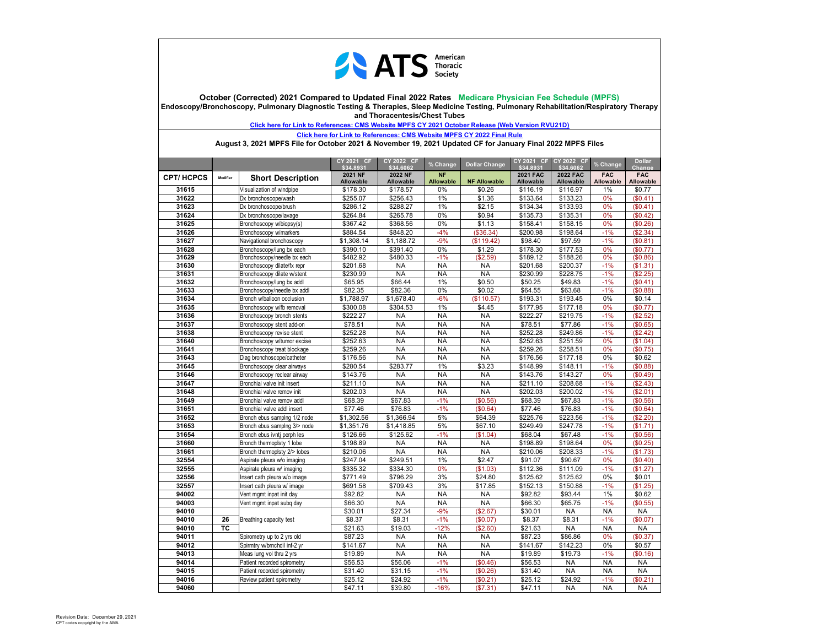

**October (Corrected) 2021 Compared to Updated Final 2022 Rates Medicare Physician Fee Schedule (MPFS) Endoscopy/Bronchoscopy, Pulmonary Diagnostic Testing & Therapies, Sleep Medicine Testing, Pulmonary Rehabilitation/Respiratory Therapy and Thoracentesis/Chest Tubes** 

**Click here for Link to References: CMS Website MPFS CY 2021 October Release (Web Version RVU21D)**

**Click here for Link to References: CMS Website MPFS CY 2022 Final Rule**

**August 3, 2021 MPFS File for October 2021 & November 19, 2021 Updated CF for January Final 2022 MPFS Files**

|                  |           |                              | CY 2021 CF<br>\$34.8931 | CY 2022 CF<br>\$34.6062 | % Change         | <b>Dollar Change</b> | CY 2021 CF<br>\$34.8931 | CY 2022 CF<br>\$34,6062 | % Change   | <b>Dollar</b><br>Change |
|------------------|-----------|------------------------------|-------------------------|-------------------------|------------------|----------------------|-------------------------|-------------------------|------------|-------------------------|
| <b>CPT/HCPCS</b> | Modifier  |                              | 2021 NF                 | 2022 NF                 | <b>NF</b>        |                      | <b>2021 FAC</b>         | <b>2022 FAC</b>         | <b>FAC</b> | <b>FAC</b>              |
|                  |           | <b>Short Description</b>     | Allowable               | <b>Allowable</b>        | <b>Allowable</b> | <b>NF Allowable</b>  | <b>Allowable</b>        | Allowable               | Allowable  | Allowable               |
| 31615            |           | Visualization of windpipe    | \$178.30                | \$178.57                | 0%               | \$0.26               | \$116.19                | \$116.97                | 1%         | \$0.77                  |
| 31622            |           | Dx bronchoscope/wash         | \$255.07                | \$256.43                | 1%               | \$1.36               | \$133.64                | \$133.23                | 0%         | (\$0.41)                |
| 31623            |           | Dx bronchoscope/brush        | \$286.12                | \$288.27                | 1%               | \$2.15               | \$134.34                | \$133.93                | 0%         | (\$0.41)                |
| 31624            |           | Dx bronchoscope/lavage       | \$264.84                | \$265.78                | 0%               | \$0.94               | \$135.73                | \$135.31                | 0%         | (\$0.42)                |
| 31625            |           | Bronchoscopy w/biopsy(s)     | \$367.42                | \$368.56                | 0%               | \$1.13               | \$158.41                | \$158.15                | 0%         | (\$0.26)                |
| 31626            |           | Bronchoscopy w/markers       | \$884.54                | \$848.20                | $-4%$            | (\$36.34)            | \$200.98                | \$198.64                | $-1%$      | (\$2.34)                |
| 31627            |           | Navigational bronchoscopy    | \$1,308.14              | \$1,188.72              | $-9%$            | (\$119.42)           | \$98.40                 | \$97.59                 | $-1%$      | (\$0.81)                |
| 31628            |           | Bronchoscopy/lung bx each    | \$390.10                | \$391.40                | 0%               | \$1.29               | \$178.30                | \$177.53                | 0%         | (\$0.77)                |
| 31629            |           | Bronchoscopy/needle bx each  | \$482.92                | \$480.33                | $-1%$            | (\$2.59)             | \$189.12                | \$188.26                | 0%         | (\$0.86)                |
| 31630            |           | Bronchoscopy dilate/fx repr  | \$201.68                | <b>NA</b>               | <b>NA</b>        | <b>NA</b>            | \$201.68                | \$200.37                | $-1%$      | (S1.31)                 |
| 31631            |           | Bronchoscopy dilate w/stent  | \$230.99                | <b>NA</b>               | <b>NA</b>        | <b>NA</b>            | \$230.99                | \$228.75                | $-1%$      | (\$2.25)                |
| 31632            |           | Bronchoscopy/lung bx addl    | \$65.95                 | \$66.44                 | 1%               | \$0.50               | \$50.25                 | \$49.83                 | $-1%$      | (S0.41)                 |
| 31633            |           | Bronchoscopy/needle bx addl  | \$82.35                 | \$82.36                 | 0%               | \$0.02               | \$64.55                 | \$63.68                 | $-1%$      | (\$0.88)                |
| 31634            |           | Bronch w/balloon occlusion   | \$1,788.97              | \$1,678.40              | $-6%$            | (\$110.57)           | \$193.31                | \$193.45                | 0%         | \$0.14                  |
| 31635            |           | Bronchoscopy w/fb removal    | \$300.08                | \$304.53                | 1%               | \$4.45               | \$177.95                | \$177.18                | 0%         | (\$0.77)                |
| 31636            |           | Bronchoscopy bronch stents   | \$222.27                | <b>NA</b>               | <b>NA</b>        | <b>NA</b>            | \$222.27                | \$219.75                | $-1%$      | (\$2.52)                |
| 31637            |           | Bronchoscopy stent add-on    | \$78.51                 | <b>NA</b>               | <b>NA</b>        | <b>NA</b>            | \$78.51                 | \$77.86                 | $-1%$      | (\$0.65)                |
| 31638            |           | Bronchoscopy revise stent    | \$252.28                | <b>NA</b>               | <b>NA</b>        | <b>NA</b>            | \$252.28                | \$249.86                | $-1%$      | (\$2.42)                |
| 31640            |           | Bronchoscopy w/tumor excise  | \$252.63                | <b>NA</b>               | <b>NA</b>        | <b>NA</b>            | \$252.63                | \$251.59                | 0%         | (\$1.04)                |
| 31641            |           | Bronchoscopy treat blockage  | \$259.26                | <b>NA</b>               | <b>NA</b>        | <b>NA</b>            | \$259.26                | \$258.51                | 0%         | (\$0.75)                |
| 31643            |           | Diag bronchoscope/catheter   | \$176.56                | <b>NA</b>               | <b>NA</b>        | NA                   | \$176.56                | \$177.18                | 0%         | \$0.62                  |
| 31645            |           | Bronchoscopy clear airways   | \$280.54                | \$283.77                | 1%               | \$3.23               | \$148.99                | \$148.11                | $-1%$      | (\$0.88)                |
| 31646            |           | Bronchoscopy reclear airway  | \$143.76                | <b>NA</b>               | <b>NA</b>        | <b>NA</b>            | \$143.76                | \$143.27                | 0%         | (\$0.49)                |
| 31647            |           | Bronchial valve init insert  | \$211.10                | <b>NA</b>               | <b>NA</b>        | <b>NA</b>            | \$211.10                | \$208.68                | $-1%$      | (\$2.43)                |
| 31648            |           | Bronchial valve remov init   | \$202.03                | <b>NA</b>               | <b>NA</b>        | <b>NA</b>            | \$202.03                | \$200.02                | $-1%$      | (\$2.01)                |
| 31649            |           | Bronchial valve remov addl   | \$68.39                 | \$67.83                 | $-1%$            | (\$0.56)             | \$68.39                 | \$67.83                 | $-1%$      | (\$0.56)                |
| 31651            |           | Bronchial valve addl insert  | \$77.46                 | \$76.83                 | $-1%$            | (\$0.64)             | \$77.46                 | \$76.83                 | $-1%$      | (\$0.64)                |
| 31652            |           | Bronch ebus samping 1/2 node | \$1,302.56              | \$1,366.94              | 5%               | \$64.39              | \$225.76                | \$223.56                | $-1%$      | (\$2.20)                |
| 31653            |           | Bronch ebus samplng 3/> node | \$1,351.76              | \$1,418.85              | 5%               | \$67.10              | \$249.49                | \$247.78                | $-1%$      | (\$1.71)                |
| 31654            |           | Bronch ebus ivnti perph les  | \$126.66                | \$125.62                | $-1%$            | (\$1.04)             | \$68.04                 | \$67.48                 | $-1%$      | (\$0.56)                |
| 31660            |           | Bronch thermoplsty 1 lobe    | \$198.89                | <b>NA</b>               | <b>NA</b>        | <b>NA</b>            | \$198.89                | \$198.64                | 0%         | (\$0.25)                |
| 31661            |           | Bronch thermoplsty 2/> lobes | \$210.06                | <b>NA</b>               | <b>NA</b>        | <b>NA</b>            | \$210.06                | \$208.33                | $-1%$      | (\$1.73)                |
| 32554            |           | Aspirate pleura w/o imaging  | \$247.04                | \$249.51                | 1%               | \$2.47               | \$91.07                 | \$90.67                 | 0%         | (S0.40)                 |
| 32555            |           | Aspirate pleura w/ imaging   | \$335.32                | \$334.30                | 0%               | (\$1.03)             | \$112.36                | \$111.09                | $-1%$      | (\$1.27)                |
| 32556            |           | Insert cath pleura w/o image | \$771.49                | \$796.29                | 3%               | \$24.80              | \$125.62                | \$125.62                | 0%         | \$0.01                  |
| 32557            |           | Insert cath pleura w/ image  | \$691.58                | \$709.43                | 3%               | \$17.85              | \$152.13                | \$150.88                | $-1%$      | (\$1.25)                |
| 94002            |           | Vent mgmt inpat init day     | \$92.82                 | <b>NA</b>               | <b>NA</b>        | <b>NA</b>            | \$92.82                 | \$93.44                 | 1%         | \$0.62                  |
| 94003            |           | Vent mgmt inpat subg day     | \$66.30                 | <b>NA</b>               | <b>NA</b>        | <b>NA</b>            | \$66.30                 | \$65.75                 | $-1%$      | (\$0.55)                |
| 94010            |           |                              | \$30.01                 | \$27.34                 | $-9%$            | (\$2.67)             | \$30.01                 | <b>NA</b>               | <b>NA</b>  | <b>NA</b>               |
| 94010            | 26        | Breathing capacity test      | \$8.37                  | \$8.31                  | $-1%$            | (\$0.07)             | \$8.37                  | \$8.31                  | $-1%$      | (\$0.07)                |
| 94010            | <b>TC</b> |                              | \$21.63                 | \$19.03                 | $-12%$           | (\$2.60)             | \$21.63                 | <b>NA</b>               | <b>NA</b>  | <b>NA</b>               |
| 94011            |           | Spirometry up to 2 yrs old   | \$87.23                 | NA                      | <b>NA</b>        | <b>NA</b>            | \$87.23                 | \$86.86                 | 0%         | (\$0.37)                |
| 94012            |           | Spirmtry w/bmchdil inf-2 yr  | \$141.67                | <b>NA</b>               | <b>NA</b>        | <b>NA</b>            | \$141.67                | \$142.23                | 0%         | \$0.57                  |
| 94013            |           | Meas lung vol thru 2 yrs     | \$19.89                 | <b>NA</b>               | <b>NA</b>        | <b>NA</b>            | \$19.89                 | \$19.73                 | $-1%$      | (S0.16)                 |
| 94014            |           | Patient recorded spirometry  | \$56.53                 | \$56.06                 | $-1%$            | (\$0.46)             | \$56.53                 | <b>NA</b>               | <b>NA</b>  | <b>NA</b>               |
| 94015            |           | Patient recorded spirometry  | \$31.40                 | \$31.15                 | $-1%$            | (\$0.26)             | \$31.40                 | <b>NA</b>               | <b>NA</b>  | <b>NA</b>               |
| 94016            |           | Review patient spirometry    | \$25.12                 | \$24.92                 | $-1%$            | (S0.21)              | \$25.12                 | \$24.92                 | $-1%$      | (S0.21)                 |
| 94060            |           |                              | \$47.11                 | \$39.80                 | $-16%$           | (\$7.31)             | \$47.11                 | <b>NA</b>               | <b>NA</b>  | <b>NA</b>               |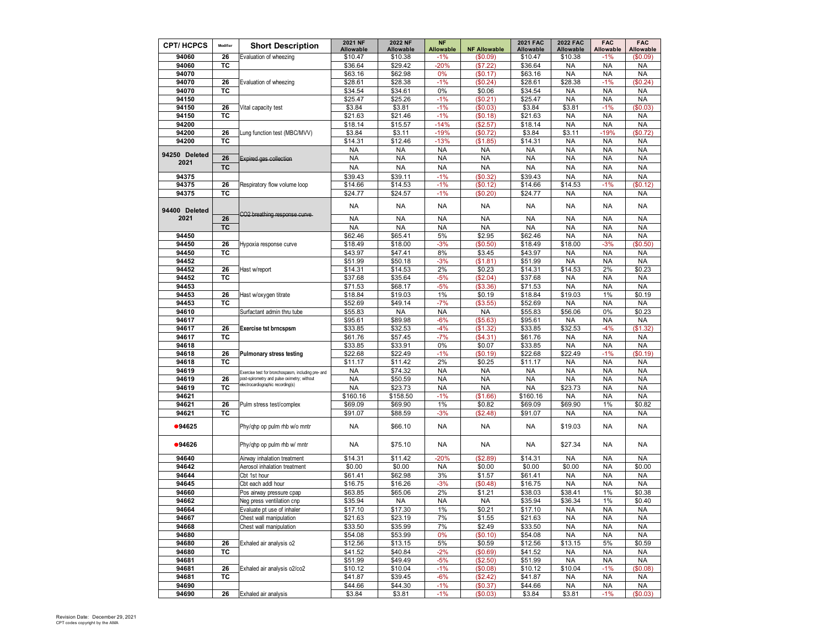| <b>CPT/HCPCS</b> | Modifier        | <b>Short Description</b>                                                         | 2021 NF              | <b>2022 NF</b>       | <b>NF</b>                 |                                 | <b>2021 FAC</b>      | <b>2022 FAC</b>        | <b>FAC</b>             | <b>FAC</b><br>Allowable |
|------------------|-----------------|----------------------------------------------------------------------------------|----------------------|----------------------|---------------------------|---------------------------------|----------------------|------------------------|------------------------|-------------------------|
| 94060            | 26              | Evaluation of wheezing                                                           | Allowable<br>\$10.47 | Allowable<br>\$10.38 | <b>Allowable</b><br>$-1%$ | <b>NF Allowable</b><br>(\$0.09) | Allowable<br>\$10.47 | Allowable<br>\$10.38   | Allowable<br>$-1%$     | (\$0.09)                |
| 94060            | ТC              |                                                                                  | \$36.64              | \$29.42              | $-20%$                    | (\$7.22)                        | \$36.64              | <b>NA</b>              | <b>NA</b>              | <b>NA</b>               |
| 94070            |                 |                                                                                  | \$63.16              | \$62.98              | 0%                        | (\$0.17)                        | \$63.16              | <b>NA</b>              | <b>NA</b>              | <b>NA</b>               |
| 94070            | 26              | Evaluation of wheezing                                                           | \$28.61              | \$28.38              | $-1%$                     | (\$0.24)                        | \$28.61              | \$28.38                | $-1%$                  | \$0.24                  |
| 94070            | ТC              |                                                                                  | \$34.54              | \$34.61              | 0%                        | \$0.06                          | \$34.54              | <b>NA</b>              | <b>NA</b>              | <b>NA</b>               |
| 94150            |                 |                                                                                  | \$25.47              | \$25.26              | $-1%$                     | (\$0.21)                        | \$25.47              | <b>NA</b>              | <b>NA</b>              | <b>NA</b>               |
| 94150            | 26              | Vital capacity test                                                              | \$3.84               | \$3.81               | $-1%$                     | (\$0.03)                        | \$3.84               | \$3.81                 | $-1%$                  | \$0.03                  |
| 94150            | ТC              |                                                                                  | \$21.63              | \$21.46              | $-1%$                     | (\$0.18)                        | \$21.63              | <b>NA</b>              | <b>NA</b>              | <b>NA</b>               |
| 94200            |                 |                                                                                  | \$18.14              | \$15.57              | $-14%$                    | (\$2.57)                        | \$18.14              | <b>NA</b>              | <b>NA</b>              | <b>NA</b>               |
| 94200            | 26              | Lung function test (MBC/MVV)                                                     | \$3.84               | \$3.11               | $-19%$                    | (\$0.72)                        | \$3.84               | \$3.11                 | $-19%$                 | \$0.72]                 |
| 94200            | ТC              |                                                                                  | \$14.31              | \$12.46              | $-13%$                    | (\$1.85)                        | \$14.31              | <b>NA</b>              | <b>NA</b>              | <b>NA</b>               |
| 94250 Deleted    |                 |                                                                                  | NA                   | <b>NA</b>            | <b>NA</b>                 | <b>NA</b>                       | <b>NA</b>            | <b>NA</b>              | <b>NA</b>              | <b>NA</b>               |
| 2021             | 26<br><b>TC</b> | <b>Expired gas collection</b>                                                    | <b>NA</b>            | <b>NA</b>            | <b>NA</b>                 | <b>NA</b>                       | <b>NA</b>            | <b>NA</b>              | <b>NA</b>              | <b>NA</b>               |
|                  |                 |                                                                                  | <b>NA</b>            | <b>NA</b>            | <b>NA</b>                 | <b>NA</b>                       | <b>NA</b>            | <b>NA</b>              | <b>NA</b>              | <b>NA</b>               |
| 94375<br>94375   | 26              |                                                                                  | \$39.43<br>\$14.66   | \$39.11<br>\$14.53   | $-1%$<br>$-1%$            | (\$0.32)<br>(\$0.12)            | \$39.43<br>\$14.66   | <b>NA</b><br>\$14.53   | <b>NA</b><br>$-1%$     | <b>NA</b><br>\$0.12)    |
| 94375            | TC              | Respiratory flow volume loop                                                     | \$24.77              | \$24.57              | $-1%$                     | (\$0.20)                        | \$24.77              | <b>NA</b>              | <b>NA</b>              | <b>NA</b>               |
|                  |                 |                                                                                  |                      |                      |                           |                                 |                      |                        |                        |                         |
| 94400 Deleted    |                 |                                                                                  | NA                   | NA                   | <b>NA</b>                 | NA                              | <b>NA</b>            | <b>NA</b>              | <b>NA</b>              | NA                      |
| 2021             | 26              | CO2 breathing response curve                                                     | <b>NA</b>            | <b>NA</b>            | <b>NA</b>                 | <b>NA</b>                       | <b>NA</b>            | <b>NA</b>              | <b>NA</b>              | <b>NA</b>               |
|                  | TC              |                                                                                  | <b>NA</b>            | <b>NA</b>            | <b>NA</b>                 | <b>NA</b>                       | <b>NA</b>            | <b>NA</b>              | <b>NA</b>              | <b>NA</b>               |
| 94450            |                 |                                                                                  | \$62.46              | \$65.41              | 5%                        | \$2.95                          | \$62.46              | <b>NA</b>              | <b>NA</b>              | <b>NA</b>               |
| 94450            | 26              | Hypoxia response curve                                                           | \$18.49              | \$18.00              | $-3%$                     | $(\$0.50)$                      | \$18.49              | \$18.00                | $-3%$                  | \$0.50                  |
| 94450            | TC              |                                                                                  | \$43.97              | \$47.41              | 8%                        | \$3.45                          | \$43.97              | <b>NA</b>              | <b>NA</b>              | <b>NA</b>               |
| 94452            |                 |                                                                                  | \$51.99              | \$50.18              | $-3%$                     | (\$1.81)                        | \$51.99              | <b>NA</b>              | <b>NA</b>              | <b>NA</b>               |
| 94452            | 26              | Hast w/report                                                                    | \$14.31              | \$14.53              | 2%                        | \$0.23                          | \$14.31              | \$14.53                | 2%                     | \$0.23                  |
| 94452            | TC              |                                                                                  | \$37.68              | \$35.64              | $-5%$                     | (\$2.04)                        | \$37.68              | <b>NA</b>              | <b>NA</b>              | <b>NA</b>               |
| 94453<br>94453   | 26              |                                                                                  | \$71.53<br>\$18.84   | \$68.17<br>\$19.03   | $-5%$<br>1%               | (\$3.36)<br>\$0.19              | \$71.53<br>\$18.84   | <b>NA</b><br>\$19.03   | <b>NA</b><br>1%        | <b>NA</b><br>\$0.19     |
| 94453            | ТC              | Hast w/oxygen titrate                                                            | \$52.69              | \$49.14              | $-7%$                     | (\$3.55)                        | \$52.69              | <b>NA</b>              | <b>NA</b>              | <b>NA</b>               |
| 94610            |                 | Surfactant admin thru tube                                                       | \$55.83              | <b>NA</b>            | <b>NA</b>                 | <b>NA</b>                       | \$55.83              | \$56.06                | 0%                     | \$0.23                  |
| 94617            |                 |                                                                                  | \$95.61              | \$89.98              | $-6%$                     | (\$5.63)                        | \$95.61              | <b>NA</b>              | <b>NA</b>              | <b>NA</b>               |
| 94617            | 26              | <b>Exercise tst brncspsm</b>                                                     | \$33.85              | \$32.53              | $-4%$                     | (\$1.32)                        | \$33.85              | \$32.53                | $-4%$                  | \$1.32                  |
| 94617            | TC              |                                                                                  | \$61.76              | \$57.45              | $-7%$                     | (\$4.31)                        | \$61.76              | <b>NA</b>              | <b>NA</b>              | <b>NA</b>               |
| 94618            |                 |                                                                                  | \$33.85              | \$33.91              | 0%                        | \$0.07                          | \$33.85              | <b>NA</b>              | <b>NA</b>              | <b>NA</b>               |
| 94618            | 26              | <b>Pulmonary stress testing</b>                                                  | \$22.68              | \$22.49              | $-1%$                     | \$0.19                          | \$22.68              | \$22.49                | $-1%$                  | \$0.19                  |
| 94618            | TC              |                                                                                  | \$11.17              | \$11.42              | 2%                        | \$0.25                          | \$11.17              | <b>NA</b>              | <b>NA</b>              | <b>NA</b>               |
| 94619            |                 | Exercise test for bronchospasm, including pre- and                               | <b>NA</b>            | \$74.32              | <b>NA</b>                 | <b>NA</b>                       | NA                   | <b>NA</b>              | <b>NA</b>              | <b>NA</b>               |
| 94619            | 26              | post-spirometry and pulse oximetry; without<br>electrocardiographic recording(s) | <b>NA</b>            | \$50.59              | <b>NA</b>                 | <b>NA</b>                       | <b>NA</b>            | <b>NA</b>              | <b>NA</b>              | <b>NA</b>               |
| 94619            | тс              |                                                                                  | <b>NA</b>            | \$23.73              | <b>NA</b>                 | <b>NA</b>                       | <b>NA</b>            | \$23.73                | <b>NA</b>              | <b>NA</b>               |
| 94621            |                 |                                                                                  | \$160.16             | \$158.50             | $-1%$                     | (\$1.66)                        | \$160.16             | <b>NA</b>              | <b>NA</b>              | <b>NA</b>               |
| 94621<br>94621   | 26<br><b>TC</b> | Pulm stress test/complex                                                         | \$69.09              | \$69.90              | 1%                        | \$0.82                          | \$69.09              | \$69.90                | 1%                     | \$0.82<br><b>NA</b>     |
|                  |                 |                                                                                  | \$91.07              | \$88.59              | $-3%$                     | (\$2.48)                        | \$91.07              | <b>NA</b>              | <b>NA</b>              |                         |
| ●94625           |                 | Phy/qhp op pulm rhb w/o mntr                                                     | <b>NA</b>            | \$66.10              | <b>NA</b>                 | <b>NA</b>                       | NA                   | \$19.03                | <b>NA</b>              | NA                      |
| ●94626           |                 | Phy/qhp op pulm rhb w/ mntr                                                      | NA                   | \$75.10              | NA                        | NA                              | NA                   | \$27.34                | <b>NA</b>              | NA                      |
| 94640            |                 | Airway inhalation treatment                                                      | \$14.31              | \$11.42              | $-20%$                    | (\$2.89)                        | \$14.31              | <b>NA</b>              | <b>NA</b>              | <b>NA</b>               |
| 94642            |                 | Aerosol inhalation treatment                                                     | \$0.00               | \$0.00               | <b>NA</b>                 | \$0.00                          | \$0.00               | \$0.00                 | <b>NA</b>              | \$0.00                  |
| 94644            |                 | Cbt 1st hour                                                                     | \$61.41              | \$62.98              | 3%                        | \$1.57                          | \$61.41              | <b>NA</b>              | <b>NA</b>              | <b>NA</b>               |
| 94645            |                 | Cbt each addl hour                                                               | \$16.75              | \$16.26              | $-3%$                     | \$0.48                          | \$16.75              | <b>NA</b>              | <b>NA</b>              | <b>NA</b>               |
| 94660            |                 | Pos airway pressure cpap                                                         | \$63.85              | \$65.06              | 2%                        | \$1.21                          | \$38.03              | \$38.41                | 1%                     | \$0.38                  |
| 94662            |                 | Neg press ventilation cnp                                                        | \$35.94              | <b>NA</b>            | <b>NA</b>                 | <b>NA</b>                       | \$35.94              | \$36.34                | 1%                     | \$0.40                  |
| 94664            |                 | Evaluate pt use of inhaler                                                       | \$17.10              | \$17.30<br>\$23.19   | 1%                        | \$0.21                          | \$17.10              | <b>NA</b>              | <b>NA</b>              | ΝA                      |
| 94667<br>94668   |                 | Chest wall manipulation<br>Chest wall manipulation                               | \$21.63              | \$35.99              | 7%<br>7%                  | \$1.55<br>\$2.49                | \$21.63<br>\$33.50   | <b>NA</b><br><b>NA</b> | <b>NA</b><br><b>NA</b> | <b>NA</b><br><b>NA</b>  |
| 94680            |                 |                                                                                  | \$33.50<br>\$54.08   | \$53.99              | 0%                        | (\$0.10)                        | \$54.08              | <b>NA</b>              | <b>NA</b>              | <b>NA</b>               |
| 94680            | 26              | Exhaled air analysis o2                                                          | \$12.56              | \$13.15              | 5%                        | \$0.59                          | \$12.56              | \$13.15                | 5%                     | \$0.59                  |
| 94680            | тc              |                                                                                  | \$41.52              | \$40.84              | $-2%$                     | (\$0.69)                        | \$41.52              | <b>NA</b>              | <b>NA</b>              | NA                      |
| 94681            |                 |                                                                                  | \$51.99              | \$49.49              | $-5%$                     | (\$2.50)                        | \$51.99              | <b>NA</b>              | <b>NA</b>              | <b>NA</b>               |
| 94681            | 26              | Exhaled air analysis o2/co2                                                      | \$10.12              | \$10.04              | $-1%$                     | (\$0.08)                        | \$10.12              | \$10.04                | $-1%$                  | \$0.08)                 |
| 94681            | ТC              |                                                                                  | \$41.87              | \$39.45              | -6%                       | (\$2.42)                        | \$41.87              | NA                     | <b>NA</b>              | NA                      |
| 94690            |                 |                                                                                  | \$44.66              | \$44.30              | $-1%$                     | (\$0.37)                        | \$44.66              | <b>NA</b>              | NA                     | <b>NA</b>               |
| 94690            | 26              | Exhaled air analysis                                                             | \$3.84               | \$3.81               | $-1%$                     | (\$0.03)                        | \$3.84               | \$3.81                 | $-1%$                  | (\$0.03)                |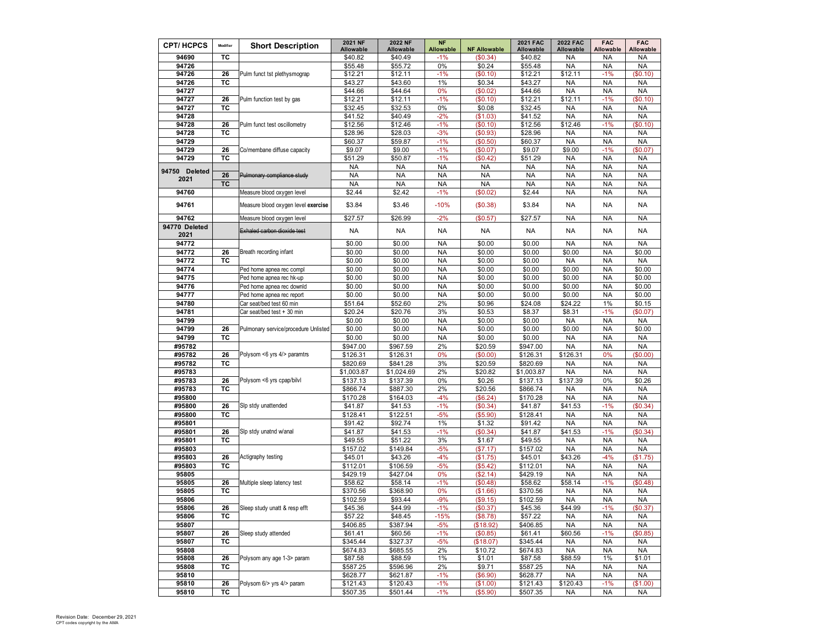| <b>CPT/HCPCS</b>      | Modifier  | <b>Short Description</b>             | 2021 NF              | 2022 NF              | <b>NF</b>                 |                                 | <b>2021 FAC</b>      | <b>2022 FAC</b>        | <b>FAC</b>             | <b>FAC</b>            |
|-----------------------|-----------|--------------------------------------|----------------------|----------------------|---------------------------|---------------------------------|----------------------|------------------------|------------------------|-----------------------|
| 94690                 | ТC        |                                      | Allowable<br>\$40.82 | Allowable<br>\$40.49 | <b>Allowable</b><br>$-1%$ | <b>NF Allowable</b><br>(\$0.34) | Allowable<br>\$40.82 | Allowable<br><b>NA</b> | Allowable<br><b>NA</b> | Allowable<br>NA       |
| 94726                 |           |                                      | \$55.48              | \$55.72              | 0%                        | \$0.24                          | \$55.48              | <b>NA</b>              | <b>NA</b>              | <b>NA</b>             |
| 94726                 | 26        | Pulm funct tst plethysmograp         | \$12.21              | \$12.11              | $-1%$                     | (\$0.10)                        | \$12.21              | \$12.11                | $-1%$                  | \$0.10                |
| 94726                 | ТC        |                                      | \$43.27              | \$43.60              | 1%                        | \$0.34                          | \$43.27              | <b>NA</b>              | <b>NA</b>              | <b>NA</b>             |
| 94727                 |           |                                      | \$44.66              | \$44.64              | 0%                        | (\$0.02)                        | \$44.66              | <b>NA</b>              | <b>NA</b>              | <b>NA</b>             |
| 94727                 | 26        | Pulm function test by gas            | \$12.21              | \$12.11              | $-1%$                     | (\$0.10)                        | \$12.21              | \$12.11                | $-1%$                  | \$0.10                |
| 94727                 | TC        |                                      | \$32.45              | \$32.53              | 0%                        | \$0.08                          | \$32.45              | <b>NA</b>              | <b>NA</b>              | <b>NA</b>             |
| 94728                 |           |                                      | \$41.52              | \$40.49              | $-2%$                     | (\$1.03)                        | \$41.52              | <b>NA</b>              | <b>NA</b>              | <b>NA</b>             |
| 94728                 | 26        | Pulm funct test oscillometry         | \$12.56              | \$12.46              | $-1%$                     | (\$0.10)                        | \$12.56              | \$12.46                | $-1%$                  | \$0.10                |
| 94728                 | TC        |                                      | \$28.96              | \$28.03              | $-3%$                     | (\$0.93)                        | \$28.96              | <b>NA</b>              | <b>NA</b>              | <b>NA</b>             |
| 94729                 |           |                                      | \$60.37              | \$59.87              | $-1%$                     | (\$0.50)                        | \$60.37              | <b>NA</b>              | <b>NA</b>              | <b>NA</b>             |
| 94729                 | 26        | Co/membane diffuse capacity          | \$9.07               | \$9.00               | $-1%$                     | (\$0.07)                        | \$9.07               | \$9.00                 | $-1%$                  | \$0.07                |
| 94729                 | ТC        |                                      | \$51.29              | \$50.87              | $-1%$                     | (\$0.42]                        | \$51.29              | <b>NA</b>              | <b>NA</b>              | <b>NA</b>             |
|                       |           |                                      | <b>NA</b>            | <b>NA</b>            | <b>NA</b>                 | <b>NA</b>                       | <b>NA</b>            | <b>NA</b>              | <b>NA</b>              | <b>NA</b>             |
| 94750 Deleted<br>2021 | 26        | Pulmonary compliance study           | <b>NA</b>            | <b>NA</b>            | <b>NA</b>                 | <b>NA</b>                       | <b>NA</b>            | <b>NA</b>              | <b>NA</b>              | <b>NA</b>             |
|                       | <b>TC</b> |                                      | <b>NA</b>            | <b>NA</b>            | <b>NA</b>                 | <b>NA</b>                       | <b>NA</b>            | <b>NA</b>              | <b>NA</b>              | <b>NA</b>             |
| 94760                 |           | Measure blood oxygen level           | \$2.44               | \$2.42               | $-1%$                     | (\$0.02)                        | \$2.44               | <b>NA</b>              | <b>NA</b>              | <b>NA</b>             |
| 94761                 |           | Measure blood oxygen level exercise  | \$3.84               | \$3.46               | $-10%$                    | (\$0.38)                        | \$3.84               | <b>NA</b>              | <b>NA</b>              | <b>NA</b>             |
| 94762                 |           | Measure blood oxygen level           | \$27.57              | \$26.99              | $-2%$                     | (\$0.57)                        | \$27.57              | <b>NA</b>              | <b>NA</b>              | <b>NA</b>             |
| 94770 Deleted<br>2021 |           | Exhaled carbon dioxide test          | <b>NA</b>            | <b>NA</b>            | <b>NA</b>                 | <b>NA</b>                       | <b>NA</b>            | <b>NA</b>              | <b>NA</b>              | <b>NA</b>             |
| 94772                 |           |                                      | \$0.00               | \$0.00               | <b>NA</b>                 | \$0.00                          | \$0.00               | <b>NA</b>              | <b>NA</b>              | <b>NA</b>             |
| 94772                 | 26        | Breath recording infant              | \$0.00               | \$0.00               | <b>NA</b>                 | \$0.00                          | \$0.00               | \$0.00                 | <b>NA</b>              | \$0.00                |
| 94772                 | ТC        |                                      | \$0.00               | \$0.00               | <b>NA</b>                 | \$0.00                          | \$0.00               | <b>NA</b>              | <b>NA</b>              | <b>NA</b>             |
| 94774                 |           | Ped home apnea rec compl             | \$0.00               | \$0.00               | <b>NA</b>                 | \$0.00                          | \$0.00               | \$0.00                 | <b>NA</b>              | \$0.00                |
| 94775                 |           | Ped home apnea rec hk-up             | \$0.00               | \$0.00               | <b>NA</b>                 | \$0.00                          | \$0.00               | \$0.00                 | <b>NA</b>              | \$0.00                |
| 94776                 |           | Ped home apnea rec downld            | \$0.00               | \$0.00               | <b>NA</b>                 | \$0.00                          | \$0.00               | \$0.00                 | <b>NA</b>              | \$0.00                |
| 94777                 |           | Ped home apnea rec report            | \$0.00               | \$0.00               | <b>NA</b>                 | \$0.00                          | \$0.00               | \$0.00                 | <b>NA</b>              | \$0.00                |
| 94780                 |           | Car seat/bed test 60 min             | \$51.64              | \$52.60              | 2%                        | \$0.96                          | \$24.08              | \$24.22                | 1%                     | \$0.15                |
| 94781                 |           | Car seat/bed test + 30 min           | \$20.24              | \$20.76              | 3%                        | \$0.53                          | \$8.37               | \$8.31                 | $-1%$                  | (\$0.07)              |
| 94799                 |           |                                      | \$0.00               | \$0.00               | <b>NA</b>                 | \$0.00                          | \$0.00               | <b>NA</b>              | <b>NA</b>              | <b>NA</b>             |
| 94799                 | 26        | Pulmonary service/procedure Unlisted | \$0.00               | \$0.00               | <b>NA</b>                 | \$0.00                          | \$0.00               | \$0.00                 | <b>NA</b>              | \$0.00                |
| 94799                 | ТC        |                                      | \$0.00               | \$0.00               | <b>NA</b>                 | \$0.00                          | \$0.00               | <b>NA</b>              | <b>NA</b>              | <b>NA</b>             |
| #95782                |           |                                      | \$947.00             | \$967.59             | 2%                        | \$20.59                         | \$947.00             | <b>NA</b>              | <b>NA</b>              | <b>NA</b>             |
| #95782                | 26        | Polysom <6 yrs 4/> paramtrs          | \$126.31             | \$126.31             | 0%                        | (\$0.00)                        | \$126.31             | \$126.31               | 0%                     | \$0.00                |
| #95782                | ТC        |                                      | \$820.69             | \$841.28             | 3%                        | \$20.59                         | \$820.69             | <b>NA</b>              | <b>NA</b>              | <b>NA</b>             |
| #95783                |           |                                      | \$1,003.87           | \$1,024.69           | 2%                        | \$20.82                         | \$1,003.87           | <b>NA</b>              | <b>NA</b>              | <b>NA</b>             |
| #95783                | 26        | Polysom <6 yrs cpap/bilvl            | \$137.13             | \$137.39             | 0%                        | \$0.26                          | \$137.13             | \$137.39               | 0%                     | \$0.26                |
| #95783                | ТC        |                                      | \$866.74             | \$887.30             | 2%                        | \$20.56                         | \$866.74             | <b>NA</b>              | <b>NA</b>              | <b>NA</b>             |
| #95800                |           |                                      | \$170.28             | \$164.03             | $-4%$                     | (\$6.24)                        | \$170.28             | <b>NA</b>              | <b>NA</b>              | <b>NA</b>             |
| #95800                | 26        | Slp stdy unattended                  | \$41.87              | \$41.53              | $-1%$                     | (\$0.34)                        | \$41.87              | \$41.53                | $-1%$                  | \$0.34)               |
| #95800                | ТC        |                                      | \$128.41             | \$122.51             | $-5%$                     | (\$5.90)                        | \$128.41             | <b>NA</b>              | <b>NA</b>              | <b>NA</b>             |
| #95801                |           |                                      | \$91.42              | \$92.74              | 1%                        | \$1.32                          | \$91.42              | <b>NA</b>              | <b>NA</b>              | <b>NA</b>             |
| #95801                | 26        | Slp stdy unatnd w/anal               | \$41.87              | \$41.53              | $-1%$                     | (\$0.34)                        | \$41.87              | \$41.53                | $-1%$                  | \$0.34)               |
| #95801                | ТC        |                                      | \$49.55              | \$51.22              | 3%                        | \$1.67                          | \$49.55              | <b>NA</b>              | <b>NA</b>              | <b>NA</b>             |
| #95803                |           |                                      | \$157.02             | \$149.84             | $-5%$                     | (\$7.17)                        | \$157.02             | <b>NA</b>              | <b>NA</b>              | <b>NA</b>             |
| #95803<br>#95803      | 26<br>ТC  | Actigraphy testing                   | \$45.01<br>\$112.01  | \$43.26<br>\$106.59  | $-4%$<br>$-5%$            | (\$1.75)<br>(\$5.42)            | \$45.01              | \$43.26<br><b>NA</b>   | $-4%$<br><b>NA</b>     | (\$1.75)<br><b>NA</b> |
| 95805                 |           |                                      | \$429.19             | \$427.04             | 0%                        | (\$2.14)                        | \$112.01<br>\$429.19 | <b>NA</b>              | <b>NA</b>              | <b>NA</b>             |
| 95805                 | 26        | Multiple sleep latency test          | \$58.62              | \$58.14              | $-1%$                     | (\$0.48)                        | \$58.62              | \$58.14                | $-1%$                  | \$0.48]               |
| 95805                 | ТC        |                                      | \$370.56             | \$368.90             | 0%                        | (\$1.66)                        | \$370.56             | <b>NA</b>              | <b>NA</b>              | <b>NA</b>             |
| 95806                 |           |                                      | \$102.59             | \$93.44              | $-9%$                     | (\$9.15)                        | \$102.59             | <b>NA</b>              | <b>NA</b>              | <b>NA</b>             |
| 95806                 | 26        | Sleep study unatt & resp efft        | \$45.36              | \$44.99              | $-1\%$                    | $\$0.37)$                       | \$45.36              | \$44.99                | $-1\%$                 | (\$0.37)              |
| 95806                 | ТC        |                                      | \$57.22              | \$48.45              | $-15%$                    | (\$8.78)                        | \$57.22              | <b>NA</b>              | NA                     | <b>NA</b>             |
| 95807                 |           |                                      | \$406.85             | \$387.94             | $-5%$                     | (\$18.92)                       | \$406.85             | <b>NA</b>              | <b>NA</b>              | <b>NA</b>             |
| 95807                 | 26        | Sleep study attended                 | \$61.41              | \$60.56              | $-1%$                     | (\$0.85)                        | \$61.41              | \$60.56                | $-1%$                  | \$0.85                |
| 95807                 | ТC        |                                      | \$345.44             | \$327.37             | $-5%$                     | (\$18.07)                       | \$345.44             | <b>NA</b>              | <b>NA</b>              | NA                    |
| 95808                 |           |                                      | \$674.83             | \$685.55             | 2%                        | \$10.72                         | \$674.83             | <b>NA</b>              | <b>NA</b>              | <b>NA</b>             |
| 95808                 | 26        | Polysom any age 1-3> param           | \$87.58              | \$88.59              | $1\%$                     | \$1.01                          | \$87.58              | \$88.59                | $1\%$                  | \$1.01                |
| 95808                 | ТC        |                                      | \$587.25             | \$596.96             | 2%                        | \$9.71                          | \$587.25             | NA                     | NA                     | NA                    |
| 95810                 |           |                                      | \$628.77             | \$621.87             | $-1%$                     | (\$6.90)                        | \$628.77             | <b>NA</b>              | <b>NA</b>              | <b>NA</b>             |
| 95810                 | 26        | Polysom 6/> yrs 4/> param            | \$121.43             | \$120.43             | $-1%$                     | (\$1.00)                        | \$121.43             | \$120.43               | $-1%$                  | (\$1.00)              |
| 95810                 | ТC        |                                      | \$507.35             | \$501.44             | $-1%$                     | (\$5.90)                        | \$507.35             | NA                     | NA                     | NA                    |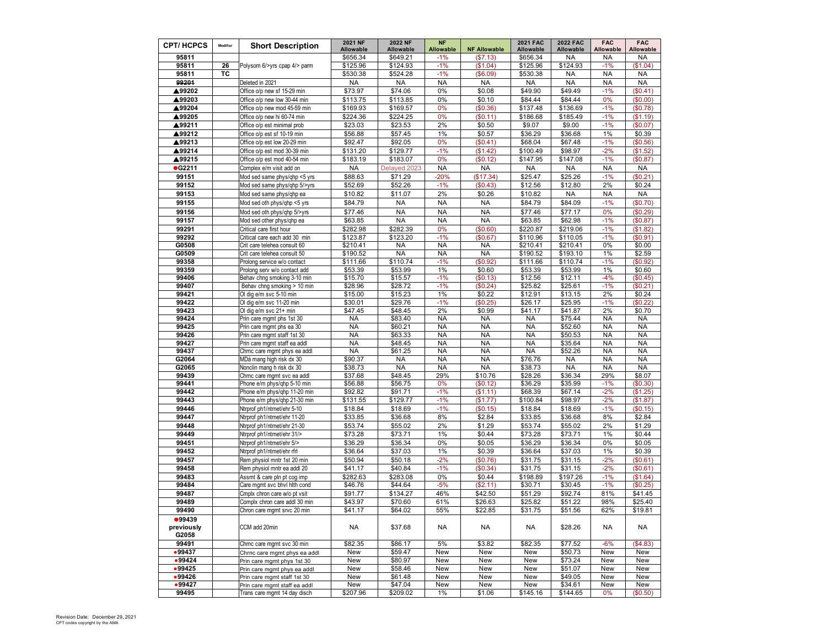| <b>CPT/HCPCS</b>              | Modifier | <b>Short Description</b>                                    | 2021 NF<br>Allowable | <b>2022 NF</b><br>Allowable | <b>NF</b><br><b>Allowable</b> | <b>NF Allowable</b>    | <b>2021 FAC</b><br>Allowable | <b>2022 FAC</b><br>Allowable | <b>FAC</b><br>Allowable | <b>FAC</b><br>Allowable |
|-------------------------------|----------|-------------------------------------------------------------|----------------------|-----------------------------|-------------------------------|------------------------|------------------------------|------------------------------|-------------------------|-------------------------|
| 95811                         |          |                                                             | \$656.34             | \$649.21                    | $-1%$                         | (\$7.13)               | \$656.34                     | NA                           | NA                      | <b>NA</b>               |
| 95811                         | 26       | Polysom 6/>yrs cpap 4/> parm                                | \$125.96             | \$124.93                    | $-1%$                         | (S1.04)                | \$125.96                     | \$124.93                     | $-1%$                   | \$1.04)                 |
| 95811                         | TC       |                                                             | \$530.38             | \$524.28                    | $-1%$                         | (\$6.09)               | \$530.38                     | <b>NA</b>                    | <b>NA</b>               | <b>NA</b>               |
| 99201                         |          | Deleted in 2021                                             | <b>NA</b>            | <b>NA</b>                   | <b>NA</b>                     | <b>NA</b>              | <b>NA</b>                    | <b>NA</b>                    | <b>NA</b>               | <b>NA</b>               |
| ▲99202                        |          | Office o/p new sf 15-29 min                                 | \$73.97              | \$74.06                     | 0%                            | \$0.08                 | \$49.90                      | \$49.49                      | $-1%$                   | (\$0.41)                |
| ▲99203                        |          | Office o/p new low 30-44 min                                | \$113.75             | \$113.85                    | 0%                            | \$0.10                 | \$84.44                      | \$84.44                      | 0%                      | \$0.00                  |
| ▲99204                        |          | Office o/p new mod 45-59 min                                | \$169.93             | \$169.57                    | 0%                            | (\$0.36)               | \$137.48                     | \$136.69                     | $-1%$                   | (\$0.78)                |
| ▲99205                        |          | Office o/p new hi 60-74 min                                 | \$224.36             | \$224.25                    | 0%                            | (\$0.11)               | \$186.68                     | \$185.49                     | $-1%$                   | (\$1.19)                |
| ▲99211                        |          | Office o/p est minimal prob                                 | \$23.03              | \$23.53                     | 2%                            | \$0.50                 | \$9.07                       | \$9.00                       | $-1%$                   | (\$0.07)                |
| ▲99212                        |          | Office o/p est sf 10-19 min                                 | \$56.88              | \$57.45                     | 1%                            | \$0.57                 | \$36.29                      | \$36.68                      | 1%                      | \$0.39                  |
| ▲99213                        |          | Office o/p est low 20-29 min                                | \$92.47              | \$92.05                     | 0%                            | (S0.41)                | \$68.04                      | \$67.48                      | $-1%$                   | (\$0.56)                |
| ▲99214                        |          | Office o/p est mod 30-39 min                                | \$131.20             | \$129.77                    | $-1%$                         | (\$1.42)               | \$100.49                     | \$98.97                      | $-2%$                   | (\$1.52)                |
| ▲99215                        |          | Office o/p est mod 40-54 min                                | \$183.19             | \$183.07                    | 0%                            | (\$0.12)               | \$147.95                     | \$147.08                     | $-1%$                   | (\$0.87)                |
| •G2211                        |          | Complex e/m visit add on                                    | <b>NA</b>            | Delayed 2023                | <b>NA</b>                     | <b>NA</b>              | <b>NA</b>                    | <b>NA</b>                    | <b>NA</b>               | <b>NA</b>               |
| 99151                         |          | Mod sed same phys/qhp <5 yrs                                | \$88.63              | \$71.29                     | $-20%$                        | (\$17.34)              | \$25.47                      | \$25.26                      | $-1%$                   | \$0.21                  |
| 99152                         |          | Mod sed same phys/ghp 5/>yrs                                | \$52.69              | \$52.26                     | $-1%$                         | (\$0.43)               | \$12.56                      | \$12.80                      | 2%                      | \$0.24                  |
| 99153                         |          | Mod sed same phys/qhp ea                                    | \$10.82              | \$11.07                     | 2%                            | \$0.26                 | \$10.82                      | <b>NA</b>                    | <b>NA</b>               | <b>NA</b>               |
| 99155                         |          | Mod sed oth phys/qhp <5 yrs                                 | \$84.79              | <b>NA</b>                   | <b>NA</b>                     | <b>NA</b>              | \$84.79                      | \$84.09                      | $-1%$                   | \$0.70)                 |
| 99156                         |          | Mod sed oth phys/qhp 5/>yrs                                 | \$77.46              | <b>NA</b>                   | <b>NA</b>                     | <b>NA</b>              | \$77.46                      | \$77.17                      | 0%                      | \$0.29                  |
| 99157                         |          | Mod sed other phys/qhp ea                                   | \$63.85              | <b>NA</b>                   | <b>NA</b>                     | <b>NA</b>              | \$63.85                      | \$62.98                      | $-1%$                   | (\$0.87)                |
| 99291                         |          | Critical care first hour                                    | \$282.98             | \$282.39                    | 0%                            | (\$0.60)               | \$220.87                     | \$219.06                     | $-1%$                   | (\$1.82"                |
| 99292                         |          | Critical care each add 30 min                               | \$123.87             | \$123.20                    | $-1%$                         | (\$0.67)               | \$110.96                     | \$110.05                     | $-1%$                   | (\$0.91)                |
| G0508                         |          | Crit care telehea consult 60                                | \$210.41             | NA                          | <b>NA</b>                     | <b>NA</b>              | \$210.41                     | \$210.41                     | $0\%$                   | \$0.00                  |
| G0509<br>99358                |          | Crit care telehea consult 50<br>Prolong service w/o contact | \$190.52<br>\$111.66 | <b>NA</b><br>\$110.74       | <b>NA</b><br>$-1%$            | <b>NA</b><br>(\$0.92)  | \$190.52<br>\$111.66         | \$193.10<br>\$110.74         | $1\%$<br>$-1%$          | \$2.59<br>(\$0.92)      |
| 99359                         |          | Prolong serv w/o contact add                                | \$53.39              | \$53.99                     | 1%                            | \$0.60                 | \$53.39                      | \$53.99                      | 1%                      | \$0.60                  |
| 99406                         |          | Behav chng smoking 3-10 min                                 | \$15.70              | \$15.57                     | $-1%$                         | (\$0.13)               | \$12.56                      | \$12.11                      | $-4%$                   | (\$0.45)                |
| 99407                         |          | Behav chng smoking > 10 min                                 | \$28.96              | \$28.72                     | $-1%$                         | (\$0.24)               | \$25.82                      | \$25.61                      | $-1%$                   | (\$0.21)                |
| 99421                         |          | Ol dig e/m svc 5-10 min                                     | \$15.00              | \$15.23                     | 1%                            | \$0.22                 | \$12.91                      | \$13.15                      | 2%                      | \$0.24                  |
| 99422                         |          | Ol dig e/m svc 11-20 min                                    | \$30.01              | \$29.76                     | $-1%$                         | (\$0.25)               | \$26.17                      | \$25.95                      | $-1%$                   | \$0.22)                 |
| 99423                         |          | Ol dig e/m svc 21+ min                                      | \$47.45              | \$48.45                     | 2%                            | \$0.99                 | \$41.17                      | \$41.87                      | 2%                      | \$0.70                  |
| 99424                         |          | Prin care mgmt phs 1st 30                                   | <b>NA</b>            | \$83.40                     | <b>NA</b>                     | <b>NA</b>              | <b>NA</b>                    | \$75.44                      | <b>NA</b>               | <b>NA</b>               |
| 99425                         |          | Prin care mgmt phs ea 30                                    | <b>NA</b>            | \$60.21                     | <b>NA</b>                     | <b>NA</b>              | <b>NA</b>                    | \$52.60                      | <b>NA</b>               | <b>NA</b>               |
| 99426                         |          | Prin care mgmt staff 1st 30                                 | <b>NA</b>            | \$63.33                     | <b>NA</b>                     | <b>NA</b>              | <b>NA</b>                    | \$50.53                      | <b>NA</b>               | <b>NA</b>               |
| 99427                         |          | Prin care mgmt staff ea addl                                | <b>NA</b>            | \$48.45                     | <b>NA</b>                     | <b>NA</b>              | <b>NA</b>                    | \$35.64                      | <b>NA</b>               | <b>NA</b>               |
| 99437                         |          | Chrnc care mgmt phys ea addl                                | <b>NA</b>            | \$61.25                     | <b>NA</b>                     | <b>NA</b>              | <b>NA</b>                    | \$52.26                      | <b>NA</b>               | <b>NA</b>               |
| G2064<br>G2065                |          | MDá mang high risk dx 30<br>Nonclin mang h risk dx 30       | \$90.37<br>\$38.73   | <b>NA</b><br><b>NA</b>      | <b>NA</b><br><b>NA</b>        | <b>NA</b><br><b>NA</b> | \$76.76<br>\$38.73           | <b>NA</b><br><b>NA</b>       | <b>NA</b><br><b>NA</b>  | <b>NA</b><br><b>NA</b>  |
| 99439                         |          | Chrnc care mgmt svc ea addl                                 | \$37.68              | \$48.45                     | 29%                           | \$10.76                | \$28.26                      | \$36.34                      | 29%                     | \$8.07                  |
| 99441                         |          | Phone e/m phys/qhp 5-10 min                                 | \$56.88              | \$56.75                     | 0%                            | (\$0.12)               | \$36.29                      | \$35.99                      | $-1%$                   | \$0.30                  |
| 99442                         |          | Phone e/m phys/qhp 11-20 min                                | \$92.82              | \$91.71                     | $-1%$                         | (\$1.11)               | \$68.39                      | \$67.14                      | $-2%$                   | (\$1.25)                |
| 99443                         |          | Phone e/m phys/qhp 21-30 min                                | \$131.55             | \$129.77                    | $-1%$                         | (\$1.77)               | \$100.84                     | \$98.97                      | $-2%$                   | (\$1.87)                |
| 99446                         |          | Ntrprof ph1/ntmet/ehr 5-10                                  | \$18.84              | \$18.69                     | $-1%$                         | (\$0.15)               | \$18.84                      | \$18.69                      | $-1%$                   | (\$0.15)                |
| 99447                         |          | Ntrprof ph1/ntmet/ehr 11-20                                 | \$33.85              | \$36.68                     | 8%                            | \$2.84                 | \$33.85                      | \$36.68                      | 8%                      | \$2.84                  |
| 99448                         |          | Ntrprof ph1/ntmet/ehr 21-30                                 | \$53.74              | \$55.02                     | 2%                            | \$1.29                 | \$53.74                      | \$55.02                      | 2%                      | \$1.29                  |
| 99449                         |          | Ntrprof ph1/ntmet/ehr 31/>                                  | \$73.28              | \$73.71                     | 1%                            | \$0.44                 | \$73.28                      | \$73.71                      | 1%                      | \$0.44                  |
| 99451                         |          | Ntrprof ph1/ntmet/ehr 5/>                                   | \$36.29              | \$36.34                     | 0%                            | \$0.05                 | \$36.29                      | \$36.34                      | 0%                      | \$0.05                  |
| 99452                         |          | Ntrprof ph1/ntmet/ehr rfrl                                  | \$36.64              | \$37.03                     | 1%                            | \$0.39                 | \$36.64                      | \$37.03                      | $1\%$                   | \$0.39                  |
| 99457                         |          | Rem physiol mntr 1st 20 min                                 | \$50.94              | \$50.18                     | $-2%$                         | (\$0.76)               | \$31.75                      | \$31.15                      | $-2%$                   | (\$0.61)                |
| 99458                         |          | Rem physiol mntr ea addl 20                                 | \$41.17              | \$40.84                     | $-1%$                         | (\$0.34)               | \$31.75                      | \$31.15                      | $-2%$                   | (\$0.61)                |
| 99483                         |          | Assmt & care pln pt cog imp                                 | \$282.63             | \$283.08                    | 0%                            | \$0.44                 | \$198.89                     | \$197.26                     | $-1%$                   | (\$1.64)                |
| 99484                         |          | Care mgmt svc bhvl hith cond                                | \$46.76              | \$44.64                     | $-5%$                         | (\$2.11)               | \$30.71                      | \$30.45                      | $-1%$                   | (\$0.25)                |
| 99487                         |          | Cmplx chron care w/o pt vsit                                | \$91.77              | \$134.27                    | 46%                           | \$42.50                | \$51.29                      | \$92.74                      | 81%                     | \$41.45                 |
| 99489                         |          | Complx chron care addl 30 min                               | \$43.97              | \$70.60                     | 61%                           | \$26.63                | \$25.82                      | \$51.22                      | 98%                     | \$25.40                 |
| 99490                         |          | Chron care mgmt srvc 20 min                                 | \$41.17              | \$64.02                     | 55%                           | \$22.85                | \$31.75                      | \$51.56                      | 62%                     | \$19.81                 |
| •99439<br>previously<br>G2058 |          | CCM add 20min                                               | NA                   | \$37.68                     | <b>NA</b>                     | NA                     | NA                           | \$28.26                      | NA                      | NA                      |
| 99491                         |          | Chrnc care mgmt svc 30 min                                  | \$82.35              | \$86.17                     | 5%                            | \$3.82                 | \$82.35                      | \$77.52                      | $-6%$                   | (\$4.83)                |
| •99437                        |          | Chrnc care mgmt phys ea addl                                | New                  | \$59.47                     | New                           | New                    | New                          | \$50.73                      | New                     | New                     |
| •99424                        |          | Prin care mgmt phys 1st 30                                  | New                  | \$80.97                     | New                           | New                    | New                          | \$73.24                      | New                     | New                     |
| •99425                        |          | Prin care mgmt phys ea addl                                 | New                  | \$58.46                     | New                           | New                    | New                          | \$51.07                      | New                     | New                     |
| •99426                        |          | Prin care mgmt staff 1st 30                                 | New                  | \$61.48                     | New                           | New                    | New                          | \$49.05                      | New                     | New                     |
| •99427                        |          | Prin care mgmt staff ea addl                                | New                  | \$47.04                     | New                           | New                    | New                          | \$34.61                      | New                     | New                     |
| 99495                         |          | Trans care mgmt 14 day disch                                | \$207.96             | \$209.02                    | 1%                            | \$1.06                 | \$145.16                     | \$144.65                     | 0%                      | (\$0.50)                |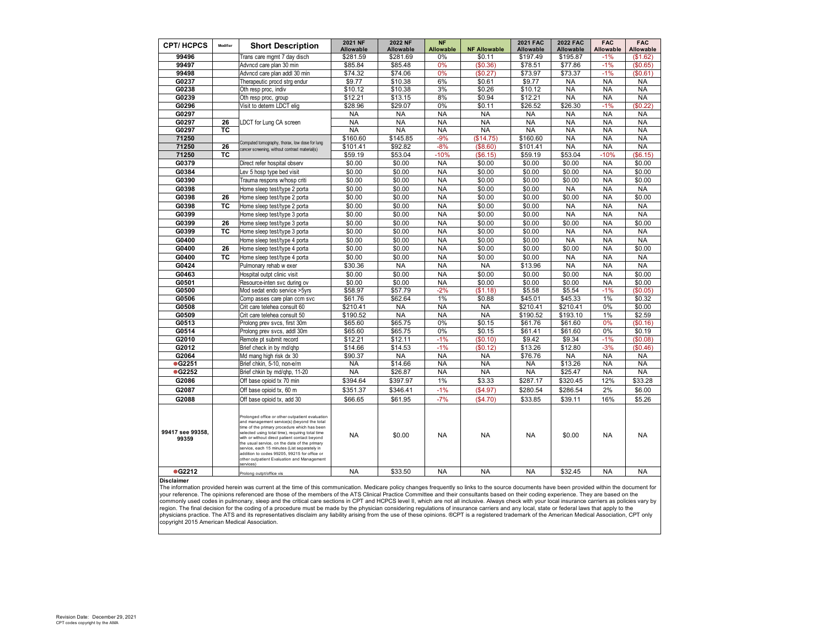| <b>CPT/HCPCS</b>          | Modifier | <b>Short Description</b>                                                                                                                                                                                                                                                                                                                                                                                                                                                    | 2021 NF<br>Allowable | <b>2022 NF</b><br><b>Allowable</b> | <b>NF</b><br>Allowable | <b>NF Allowable</b>   | <b>2021 FAC</b><br><b>Allowable</b> | <b>2022 FAC</b><br><b>Allowable</b> | <b>FAC</b><br>Allowable | <b>FAC</b><br>Allowable |
|---------------------------|----------|-----------------------------------------------------------------------------------------------------------------------------------------------------------------------------------------------------------------------------------------------------------------------------------------------------------------------------------------------------------------------------------------------------------------------------------------------------------------------------|----------------------|------------------------------------|------------------------|-----------------------|-------------------------------------|-------------------------------------|-------------------------|-------------------------|
| 99496                     |          | Trans care mgmt 7 day disch                                                                                                                                                                                                                                                                                                                                                                                                                                                 | \$281.59             | \$281.69                           | 0%                     | \$0.11                | \$197.49                            | \$195.87                            | $-1%$                   | (\$1.62)                |
| 99497                     |          | Advncd care plan 30 min                                                                                                                                                                                                                                                                                                                                                                                                                                                     | \$85.84              | \$85.48                            | 0%                     | (\$0.36)              | \$78.51                             | \$77.86                             | $-1%$                   | (S0.65)                 |
| 99498                     |          | Advncd care plan addl 30 min                                                                                                                                                                                                                                                                                                                                                                                                                                                | \$74.32              | \$74.06                            | 0%                     | (\$0.27)              | \$73.97                             | \$73.37                             | $-1%$                   | (\$0.61)                |
| G0237                     |          | Therapeutic procd strg endur                                                                                                                                                                                                                                                                                                                                                                                                                                                | \$9.77               | \$10.38                            | 6%                     | \$0.61                | \$9.77                              | <b>NA</b>                           | <b>NA</b>               | <b>NA</b>               |
| G0238                     |          | Oth resp proc, indiv                                                                                                                                                                                                                                                                                                                                                                                                                                                        | \$10.12              | \$10.38                            | 3%                     | \$0.26                | \$10.12                             | <b>NA</b>                           | <b>NA</b>               | <b>NA</b>               |
| G0239                     |          | Oth resp proc, group                                                                                                                                                                                                                                                                                                                                                                                                                                                        | \$12.21              | \$13.15                            | 8%                     | \$0.94                | \$12.21                             | <b>NA</b>                           | <b>NA</b>               | <b>NA</b>               |
| G0296                     |          | Visit to determ LDCT elig                                                                                                                                                                                                                                                                                                                                                                                                                                                   | \$28.96              | \$29.07                            | 0%                     | \$0.11                | \$26.52                             | \$26.30                             | $-1%$                   | \$0.22                  |
| G0297                     |          |                                                                                                                                                                                                                                                                                                                                                                                                                                                                             | <b>NA</b>            | <b>NA</b>                          | <b>NA</b>              | <b>NA</b>             | <b>NA</b>                           | <b>NA</b>                           | <b>NA</b>               | <b>NA</b>               |
| G0297                     | 26       | LDCT for Lung CA screen                                                                                                                                                                                                                                                                                                                                                                                                                                                     | <b>NA</b>            | <b>NA</b>                          | <b>NA</b>              | <b>NA</b>             | <b>NA</b>                           | <b>NA</b>                           | <b>NA</b>               | <b>NA</b>               |
| G0297                     | TC       |                                                                                                                                                                                                                                                                                                                                                                                                                                                                             | <b>NA</b>            | <b>NA</b>                          | <b>NA</b>              | <b>NA</b>             | <b>NA</b>                           | <b>NA</b>                           | <b>NA</b>               | <b>NA</b>               |
| 71250                     |          | Computed tomography, thorax, low dose for lung                                                                                                                                                                                                                                                                                                                                                                                                                              | \$160.60             | \$145.85                           | $-9%$                  | (\$14.75)             | \$160.60                            | <b>NA</b>                           | <b>NA</b>               | <b>NA</b>               |
| 71250                     | 26       | cancer screening, without contrast material(s)                                                                                                                                                                                                                                                                                                                                                                                                                              | \$101.41             | \$92.82                            | $-8%$                  | (\$8.60)              | \$101.41                            | <b>NA</b>                           | <b>NA</b>               | <b>NA</b>               |
| 71250                     | TC       |                                                                                                                                                                                                                                                                                                                                                                                                                                                                             | \$59.19              | \$53.04                            | $-10%$                 | (\$6.15)              | \$59.19                             | \$53.04                             | $-10%$                  | (\$6.15)                |
| G0379                     |          | Direct refer hospital observ                                                                                                                                                                                                                                                                                                                                                                                                                                                | \$0.00               | \$0.00                             | <b>NA</b>              | \$0.00                | \$0.00                              | \$0.00                              | <b>NA</b>               | \$0.00                  |
| G0384                     |          | Lev 5 hosp type bed visit                                                                                                                                                                                                                                                                                                                                                                                                                                                   | \$0.00               | \$0.00                             | <b>NA</b>              | \$0.00                | \$0.00                              | \$0.00                              | <b>NA</b>               | \$0.00                  |
| G0390                     |          | Trauma respons w/hosp criti                                                                                                                                                                                                                                                                                                                                                                                                                                                 | \$0.00               | \$0.00                             | <b>NA</b>              | \$0.00                | \$0.00                              | \$0.00                              | <b>NA</b>               | \$0.00                  |
| G0398                     |          | Home sleep test/type 2 porta                                                                                                                                                                                                                                                                                                                                                                                                                                                | \$0.00               | \$0.00                             | <b>NA</b>              | \$0.00                | \$0.00                              | <b>NA</b>                           | <b>NA</b>               | <b>NA</b>               |
| G0398                     | 26       | Home sleep test/type 2 porta                                                                                                                                                                                                                                                                                                                                                                                                                                                | \$0.00               | \$0.00                             | <b>NA</b>              | \$0.00                | \$0.00                              | \$0.00                              | <b>NA</b>               | \$0.00                  |
| G0398                     | TC       | Home sleep test/type 2 porta                                                                                                                                                                                                                                                                                                                                                                                                                                                | \$0.00               | \$0.00                             | <b>NA</b>              | \$0.00                | \$0.00                              | <b>NA</b>                           | <b>NA</b>               | <b>NA</b>               |
| G0399                     |          | Home sleep test/type 3 porta                                                                                                                                                                                                                                                                                                                                                                                                                                                | \$0.00               | \$0.00                             | <b>NA</b>              | \$0.00                | \$0.00                              | <b>NA</b>                           | <b>NA</b>               | <b>NA</b>               |
| G0399                     | 26       | Home sleep test/type 3 porta                                                                                                                                                                                                                                                                                                                                                                                                                                                | \$0.00               | \$0.00                             | <b>NA</b>              | \$0.00                | \$0.00                              | \$0.00                              | <b>NA</b>               | \$0.00                  |
| G0399                     | TC       | Home sleep test/type 3 porta                                                                                                                                                                                                                                                                                                                                                                                                                                                | \$0.00               | \$0.00                             | <b>NA</b>              | \$0.00                | \$0.00                              | <b>NA</b>                           | <b>NA</b>               | <b>NA</b>               |
| G0400                     |          | Home sleep test/type 4 porta                                                                                                                                                                                                                                                                                                                                                                                                                                                | \$0.00               | \$0.00                             | <b>NA</b>              | \$0.00                | \$0.00                              | <b>NA</b>                           | <b>NA</b>               | <b>NA</b>               |
| G0400                     | 26       | Home sleep test/type 4 porta                                                                                                                                                                                                                                                                                                                                                                                                                                                | \$0.00               | \$0.00                             | <b>NA</b>              | \$0.00                | \$0.00                              | \$0.00                              | <b>NA</b>               | \$0.00                  |
| G0400                     | TC       | Home sleep test/type 4 porta                                                                                                                                                                                                                                                                                                                                                                                                                                                | \$0.00               | \$0.00                             | <b>NA</b>              | \$0.00                | \$0.00                              | <b>NA</b>                           | <b>NA</b>               | <b>NA</b>               |
| G0424                     |          | Pulmonary rehab w exer                                                                                                                                                                                                                                                                                                                                                                                                                                                      | \$30.36              | <b>NA</b>                          | <b>NA</b>              | <b>NA</b>             | \$13.96                             | <b>NA</b>                           | <b>NA</b>               | <b>NA</b>               |
| G0463                     |          | Hospital outpt clinic visit                                                                                                                                                                                                                                                                                                                                                                                                                                                 | \$0.00               | \$0.00                             | <b>NA</b>              | \$0.00                | \$0.00                              | \$0.00                              | <b>NA</b>               | \$0.00                  |
| G0501                     |          | Resource-inten svc during ov                                                                                                                                                                                                                                                                                                                                                                                                                                                | \$0.00               | \$0.00                             | <b>NA</b>              | \$0.00                | \$0.00                              | \$0.00                              | <b>NA</b>               | \$0.00                  |
| G0500                     |          | Mod sedat endo service >5yrs                                                                                                                                                                                                                                                                                                                                                                                                                                                | \$58.97              | \$57.79                            | $-2%$                  | (\$1.18)              | \$5.58                              | \$5.54                              | $-1%$                   | (\$0.05)                |
| G0506                     |          | Comp asses care plan ccm svc                                                                                                                                                                                                                                                                                                                                                                                                                                                | \$61.76              | \$62.64                            | 1%                     | \$0.88                | \$45.01                             | \$45.33                             | 1%                      | \$0.32                  |
| G0508                     |          | Crit care telehea consult 60                                                                                                                                                                                                                                                                                                                                                                                                                                                | \$210.41             | <b>NA</b>                          | <b>NA</b>              | <b>NA</b>             | \$210.41                            | \$210.41                            | 0%                      | \$0.00                  |
| G0509                     |          | Crit care telehea consult 50                                                                                                                                                                                                                                                                                                                                                                                                                                                | \$190.52             | <b>NA</b>                          | <b>NA</b>              | <b>NA</b>             | \$190.52                            | \$193.10                            | 1%                      | \$2.59                  |
| G0513                     |          | Prolong prev svcs, first 30m                                                                                                                                                                                                                                                                                                                                                                                                                                                | \$65.60              | \$65.75                            | 0%                     | \$0.15                | \$61.76                             | \$61.60                             | 0%                      | \$0.16                  |
| G0514                     |          | Prolong prev svcs, addl 30m                                                                                                                                                                                                                                                                                                                                                                                                                                                 | \$65.60              | \$65.75                            | 0%                     | \$0.15                | \$61.41                             | \$61.60                             | 0%                      | \$0.19                  |
| G2010                     |          | Remote pt submit record                                                                                                                                                                                                                                                                                                                                                                                                                                                     | \$12.21              | \$12.11                            | $-1%$                  | \$0.10                | \$9.42                              | \$9.34                              | $-1%$                   | \$0.08                  |
| G2012<br>G2064            |          | Brief check in by md/qhp                                                                                                                                                                                                                                                                                                                                                                                                                                                    | \$14.66<br>\$90.37   | \$14.53<br><b>NA</b>               | $-1%$<br><b>NA</b>     | (\$0.12)<br><b>NA</b> | \$13.26                             | \$12.80<br><b>NA</b>                | $-3%$<br><b>NA</b>      | (\$0.46)<br><b>NA</b>   |
| • 62251                   |          | Md mang high risk dx 30<br>Brief chkin, 5-10, non-e/m                                                                                                                                                                                                                                                                                                                                                                                                                       | <b>NA</b>            | \$14.66                            | <b>NA</b>              | <b>NA</b>             | \$76.76<br><b>NA</b>                | \$13.26                             | <b>NA</b>               | <b>NA</b>               |
| <b>CG2252</b>             |          | Brief chkin by md/ghp, 11-20                                                                                                                                                                                                                                                                                                                                                                                                                                                | <b>NA</b>            | \$26.87                            | <b>NA</b>              | <b>NA</b>             | <b>NA</b>                           | \$25.47                             | <b>NA</b>               | <b>NA</b>               |
| G2086                     |          |                                                                                                                                                                                                                                                                                                                                                                                                                                                                             | \$394.64             | \$397.97                           | 1%                     | \$3.33                | \$287.17                            |                                     | 12%                     | \$33.28                 |
|                           |          | Off base opioid tx 70 min                                                                                                                                                                                                                                                                                                                                                                                                                                                   |                      |                                    |                        |                       |                                     | \$320.45                            |                         |                         |
| G2087                     |          | Off base opioid tx, 60 m                                                                                                                                                                                                                                                                                                                                                                                                                                                    | \$351.37             | \$346.41                           | $-1%$                  | (\$4.97)              | \$280.54                            | \$286.54                            | 2%                      | \$6.00                  |
| G2088                     |          | Off base opioid tx, add 30                                                                                                                                                                                                                                                                                                                                                                                                                                                  | \$66.65              | \$61.95                            | $-7%$                  | (\$4.70)              | \$33.85                             | \$39.11                             | 16%                     | \$5.26                  |
| 99417 see 99358,<br>99359 |          | Prolonged office or other outpatient evaluation<br>and management service(s) (beyond the total<br>time of the primary procedure which has been<br>selected using total time), requiring total time<br>with or without direct patient contact beyond<br>the usual service, on the date of the primary<br>service, each 15 minutes (List separately in<br>addition to codes 99205, 99215 for office or<br>other outpatient Evaluation and Management<br>services <sup>1</sup> | <b>NA</b>            | \$0.00                             | <b>NA</b>              | <b>NA</b>             | <b>NA</b>                           | \$0.00                              | <b>NA</b>               | <b>NA</b>               |
| <b>CG2212</b>             |          | Prolong outpt/office vis                                                                                                                                                                                                                                                                                                                                                                                                                                                    | <b>NA</b>            | \$33.50                            | <b>NA</b>              | <b>NA</b>             | <b>NA</b>                           | \$32.45                             | <b>NA</b>               | <b>NA</b>               |
| <b>Disclaimer</b>         |          |                                                                                                                                                                                                                                                                                                                                                                                                                                                                             |                      |                                    |                        |                       |                                     |                                     |                         |                         |

**Disclaimer**<br>The information provided herein was current at the time of this communication. Medicare policy changes frequently so links to the source documents have been provided within the document for<br>your reference. The commonly used codes in pulmonary, sleep and the critical care sections in CPT and HCPCS level II, which are not all inclusive. Always check with your local insurance carriers as policies vary by<br>region. The final decision copyright 2015 American Medical Association.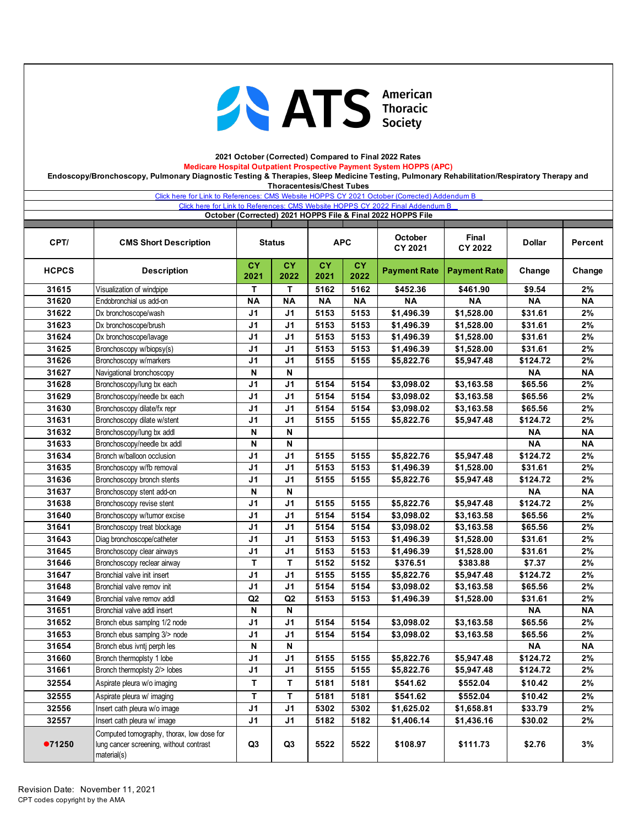

### **2021 October (Corrected) Compared to Final 2022 Rates Medicare Hospital Outpatient Prospective Payment System HOPPS (APC) Endoscopy/Bronchoscopy, Pulmonary Diagnostic Testing & Therapies, Sleep Medicine Testing, Pulmonary Rehabilitation/Respiratory Therapy and**

**Thoracentesis/Chest Tubes** 

|                | Click here for Link to References: CMS Website HOPPS CY 2021 October (Corrected) Addendum B         |                                  |                                  |                   |                   | Click here for Link to References: CMS Website HOPPS CY 2022 Final Addendum B |                          |                     |           |
|----------------|-----------------------------------------------------------------------------------------------------|----------------------------------|----------------------------------|-------------------|-------------------|-------------------------------------------------------------------------------|--------------------------|---------------------|-----------|
|                |                                                                                                     |                                  |                                  |                   |                   | October (Corrected) 2021 HOPPS File & Final 2022 HOPPS File                   |                          |                     |           |
| CPT/           | <b>CMS Short Description</b>                                                                        |                                  | <b>Status</b>                    |                   | <b>APC</b>        | October<br>CY 2021                                                            | Final<br>CY 2022         | <b>Dollar</b>       | Percent   |
| <b>HCPCS</b>   | <b>Description</b>                                                                                  | <b>CY</b><br>2021                | <b>CY</b><br>2022                | <b>CY</b><br>2021 | <b>CY</b><br>2022 | <b>Payment Rate</b>                                                           | <b>Payment Rate</b>      | Change              | Change    |
| 31615          | Visualization of windpipe                                                                           | Т                                | Т                                | 5162              | 5162              | \$452.36                                                                      | \$461.90                 | \$9.54              | 2%        |
| 31620          | Endobronchial us add-on                                                                             | <b>NA</b>                        | <b>NA</b>                        | <b>NA</b>         | <b>NA</b>         | <b>NA</b>                                                                     | <b>NA</b>                | <b>NA</b>           | <b>NA</b> |
| 31622          | Dx bronchoscope/wash                                                                                | J <sub>1</sub>                   | J <sub>1</sub>                   | 5153              | 5153              | \$1,496.39                                                                    | \$1,528.00               | \$31.61             | 2%        |
| 31623          | Dx bronchoscope/brush                                                                               | J <sub>1</sub>                   | J <sub>1</sub>                   | 5153              | 5153              | \$1,496.39                                                                    | \$1,528.00               | \$31.61             | 2%        |
| 31624          | Dx bronchoscope/lavage                                                                              | J <sub>1</sub>                   | J <sub>1</sub>                   | 5153              | 5153              | \$1,496.39                                                                    | \$1,528.00               | \$31.61             | 2%        |
| 31625          | Bronchoscopy w/biopsy(s)                                                                            | J <sub>1</sub>                   | J <sub>1</sub>                   | 5153              | 5153              | \$1,496.39                                                                    | \$1,528.00               | \$31.61             | 2%        |
| 31626          | Bronchoscopy w/markers                                                                              | J <sub>1</sub>                   | J <sub>1</sub>                   | 5155              | 5155              | \$5,822.76                                                                    | \$5,947.48               | \$124.72            | 2%        |
| 31627          | Navigational bronchoscopy                                                                           | N                                | N                                |                   |                   |                                                                               |                          | <b>NA</b>           | <b>NA</b> |
| 31628          | Bronchoscopy/lung bx each                                                                           | J <sub>1</sub>                   | J <sub>1</sub>                   | 5154              | 5154              | \$3,098.02                                                                    | \$3,163.58               | \$65.56             | 2%        |
| 31629<br>31630 | Bronchoscopy/needle bx each                                                                         | J <sub>1</sub><br>J <sub>1</sub> | J <sub>1</sub><br>J <sub>1</sub> | 5154<br>5154      | 5154              | \$3,098.02                                                                    | \$3,163.58               | \$65.56             | 2%        |
| 31631          | Bronchoscopy dilate/fx repr<br>Bronchoscopy dilate w/stent                                          | J <sub>1</sub>                   | J <sub>1</sub>                   | 5155              | 5154<br>5155      | \$3,098.02<br>\$5,822.76                                                      | \$3,163.58<br>\$5,947.48 | \$65.56<br>\$124.72 | 2%<br>2%  |
| 31632          | Bronchoscopy/lung bx addl                                                                           | N                                | N                                |                   |                   |                                                                               |                          | <b>NA</b>           | <b>NA</b> |
| 31633          | Bronchoscopy/needle bx addl                                                                         | N                                | N                                |                   |                   |                                                                               |                          | <b>NA</b>           | <b>NA</b> |
| 31634          | Bronch w/balloon occlusion                                                                          | J <sub>1</sub>                   | J <sub>1</sub>                   | 5155              | 5155              | \$5,822.76                                                                    | \$5,947.48               | \$124.72            | 2%        |
| 31635          | Bronchoscopy w/fb removal                                                                           | J <sub>1</sub>                   | J <sub>1</sub>                   | 5153              | 5153              | \$1,496.39                                                                    | \$1,528.00               | \$31.61             | 2%        |
| 31636          | Bronchoscopy bronch stents                                                                          | J <sub>1</sub>                   | J <sub>1</sub>                   | 5155              | 5155              | \$5,822.76                                                                    | \$5,947.48               | \$124.72            | 2%        |
| 31637          | Bronchoscopy stent add-on                                                                           | N                                | N                                |                   |                   |                                                                               |                          | <b>NA</b>           | <b>NA</b> |
| 31638          | Bronchoscopy revise stent                                                                           | J <sub>1</sub>                   | J <sub>1</sub>                   | 5155              | 5155              | \$5,822.76                                                                    | \$5,947.48               | \$124.72            | 2%        |
| 31640          | Bronchoscopy w/tumor excise                                                                         | J <sub>1</sub>                   | J <sub>1</sub>                   | 5154              | 5154              | \$3,098.02                                                                    | \$3,163.58               | \$65.56             | 2%        |
| 31641          | Bronchoscopy treat blockage                                                                         | J <sub>1</sub>                   | J <sub>1</sub>                   | 5154              | 5154              | \$3,098.02                                                                    | \$3,163.58               | \$65.56             | 2%        |
| 31643          | Diag bronchoscope/catheter                                                                          | J <sub>1</sub>                   | J <sub>1</sub>                   | 5153              | 5153              | \$1,496.39                                                                    | \$1,528.00               | \$31.61             | 2%        |
| 31645          | Bronchoscopy clear airways                                                                          | J <sub>1</sub>                   | J <sub>1</sub>                   | 5153              | 5153              | \$1,496.39                                                                    | \$1,528.00               | \$31.61             | 2%        |
| 31646          | Bronchoscopy reclear airway                                                                         | T                                | T                                | 5152              | 5152              | \$376.51                                                                      | \$383.88                 | \$7.37              | 2%        |
| 31647          | Bronchial valve init insert                                                                         | J <sub>1</sub>                   | J <sub>1</sub>                   | 5155              | 5155              | \$5,822.76                                                                    | \$5,947.48               | \$124.72            | 2%        |
| 31648          | Bronchial valve remov init                                                                          | J <sub>1</sub>                   | J <sub>1</sub>                   | 5154              | 5154              | \$3,098.02                                                                    | \$3,163.58               | \$65.56             | 2%        |
| 31649          | Bronchial valve remov addl                                                                          | Q2                               | Q2                               | 5153              | 5153              | \$1,496.39                                                                    | \$1,528.00               | \$31.61             | 2%        |
| 31651          | Bronchial valve addl insert                                                                         | N                                | N                                |                   |                   |                                                                               |                          | <b>NA</b>           | <b>NA</b> |
| 31652          | Bronch ebus samplng 1/2 node                                                                        | J <sub>1</sub>                   | J <sub>1</sub>                   | 5154              | 5154              | \$3,098.02                                                                    | \$3,163.58               | \$65.56             | 2%        |
| 31653          | Bronch ebus samplng 3/> node                                                                        | J1                               | J1                               | 5154              | 5154              | \$3,098.02                                                                    | \$3,163.58               | \$65.56             | 2%        |
| 31654          | Bronch ebus ivntj perph les                                                                         | N                                | Ν                                |                   |                   |                                                                               |                          | <b>NA</b>           | <b>NA</b> |
| 31660          | Bronch thermoplsty 1 lobe<br>Bronch thermoplsty 2/> lobes                                           | J <sub>1</sub>                   | $\overline{J1}$                  | 5155              | 5155              | \$5,822.76                                                                    | \$5,947.48               | \$124.72            | 2%        |
| 31661          |                                                                                                     | J1                               | J <sub>1</sub>                   | 5155              | 5155              | \$5,822.76                                                                    | \$5,947.48               | \$124.72            | 2%        |
| 32554          | Aspirate pleura w/o imaging                                                                         | Т                                | т                                | 5181              | 5181              | \$541.62                                                                      | \$552.04                 | \$10.42             | 2%        |
| 32555          | Aspirate pleura w/ imaging                                                                          | $\mathsf T$                      | T                                | 5181              | 5181              | \$541.62                                                                      | \$552.04                 | \$10.42             | 2%        |
| 32556          | Insert cath pleura w/o image                                                                        | J1                               | J <sub>1</sub>                   | 5302              | 5302              | \$1,625.02                                                                    | \$1,658.81               | \$33.79             | 2%        |
| 32557          | Insert cath pleura w/ image                                                                         | J1                               | J <sub>1</sub>                   | 5182              | 5182              | \$1,406.14                                                                    | \$1,436.16               | \$30.02             | 2%        |
| ●71250         | Computed tomography, thorax, low dose for<br>lung cancer screening, without contrast<br>material(s) | Q3                               | Q <sub>3</sub>                   | 5522              | 5522              | \$108.97                                                                      | \$111.73                 | \$2.76              | 3%        |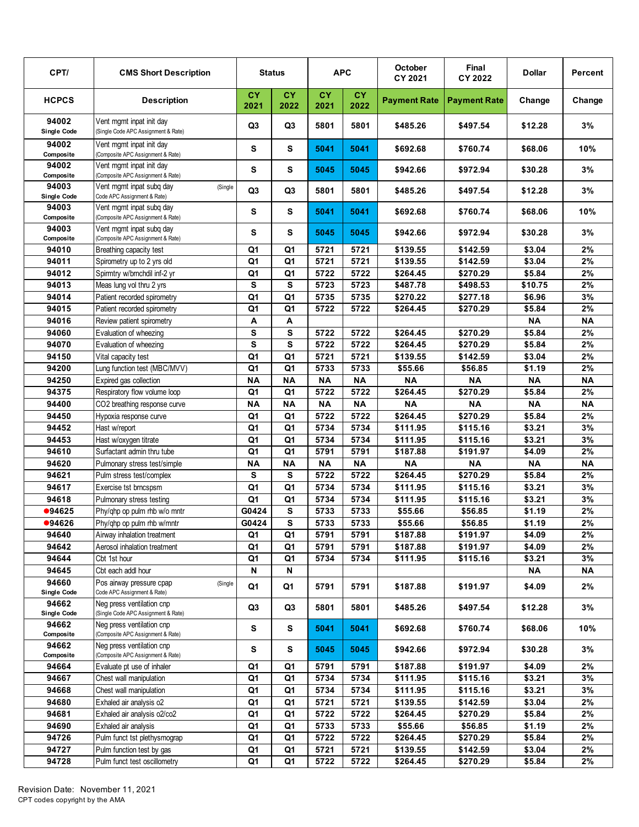| CPT/                        | <b>CMS Short Description</b>                                       |                   | <b>Status</b>     |                   | <b>APC</b>        | October<br>CY 2021  | Final<br>CY 2022    | <b>Dollar</b> | Percent   |
|-----------------------------|--------------------------------------------------------------------|-------------------|-------------------|-------------------|-------------------|---------------------|---------------------|---------------|-----------|
| <b>HCPCS</b>                | <b>Description</b>                                                 | <b>CY</b><br>2021 | <b>CY</b><br>2022 | <b>CY</b><br>2021 | <b>CY</b><br>2022 | <b>Payment Rate</b> | <b>Payment Rate</b> | Change        | Change    |
| 94002<br>Single Code        | Vent mgmt inpat init day<br>(Single Code APC Assignment & Rate)    | Q3                | Q3                | 5801              | 5801              | \$485.26            | \$497.54            | \$12.28       | 3%        |
| 94002<br>Composite          | Vent mgmt inpat init day<br>(Composite APC Assignment & Rate)      | S                 | S                 | 5041              | 5041              | \$692.68            | \$760.74            | \$68.06       | 10%       |
| 94002<br>Composite          | Vent mamt inpat init dav<br>(Composite APC Assignment & Rate)      | S                 | S                 | 5045              | 5045              | \$942.66            | \$972.94            | \$30.28       | 3%        |
| 94003<br><b>Single Code</b> | Vent mgmt inpat subg day<br>(Single<br>Code APC Assignment & Rate) | Q <sub>3</sub>    | Q3                | 5801              | 5801              | \$485.26            | \$497.54            | \$12.28       | 3%        |
| 94003<br>Composite          | Vent mgmt inpat subq day<br>(Composite APC Assignment & Rate)      | S                 | S                 | 5041              | 5041              | \$692.68            | \$760.74            | \$68.06       | 10%       |
| 94003<br>Composite          | Vent mgmt inpat subg day<br>(Composite APC Assignment & Rate)      | S                 | s                 | 5045              | 5045              | \$942.66            | \$972.94            | \$30.28       | 3%        |
| 94010                       | Breathing capacity test                                            | Q <sub>1</sub>    | Q <sub>1</sub>    | 5721              | 5721              | \$139.55            | \$142.59            | \$3.04        | $2\%$     |
| 94011                       | Spirometry up to 2 yrs old                                         | Q <sub>1</sub>    | Q <sub>1</sub>    | 5721              | 5721              | \$139.55            | \$142.59            | \$3.04        | 2%        |
| 94012                       | Spirmtry w/brnchdil inf-2 yr                                       | Q <sub>1</sub>    | Q <sub>1</sub>    | 5722              | 5722              | \$264.45            | \$270.29            | \$5.84        | $2\%$     |
| 94013                       | Meas lung vol thru 2 yrs                                           | S                 | S                 | 5723              | 5723              | \$487.78            | \$498.53            | \$10.75       | 2%        |
| 94014                       | Patient recorded spirometry                                        | Q <sub>1</sub>    | Q1                | 5735              | 5735              | \$270.22            | \$277.18            | \$6.96        | 3%        |
| 94015                       | Patient recorded spirometry                                        | Q <sub>1</sub>    | Q1                | 5722              | 5722              | \$264.45            | \$270.29            | \$5.84        | $2\%$     |
| 94016                       | Review patient spirometry                                          | A                 | Α                 |                   |                   |                     |                     | <b>NA</b>     | <b>NA</b> |
| 94060                       | Evaluation of wheezing                                             | S                 | S                 | 5722              | 5722              | \$264.45            | \$270.29            | \$5.84        | $2\%$     |
| 94070                       | Evaluation of wheezing                                             | S                 | S                 | 5722              | 5722              | \$264.45            | \$270.29            | \$5.84        | 2%        |
| 94150                       | Vital capacity test                                                | Q1                | Q1                | 5721              | 5721              | \$139.55            | \$142.59            | \$3.04        | 2%        |
| 94200                       | Lung function test (MBC/MVV)                                       | Q <sub>1</sub>    | Q <sub>1</sub>    | 5733              | 5733              | \$55.66             | \$56.85             | \$1.19        | $2\%$     |
| 94250                       | Expired gas collection                                             | <b>NA</b>         | <b>NA</b>         | <b>NA</b>         | <b>NA</b>         | <b>NA</b>           | <b>NA</b>           | <b>NA</b>     | <b>NA</b> |
| 94375                       | Respiratory flow volume loop                                       | Q <sub>1</sub>    | Q <sub>1</sub>    | 5722              | 5722              | \$264.45            | \$270.29            | \$5.84        | $2\%$     |
| 94400                       | CO2 breathing response curve                                       | <b>NA</b>         | <b>NA</b>         | <b>NA</b>         | <b>NA</b>         | <b>NA</b>           | <b>NA</b>           | <b>NA</b>     | <b>NA</b> |
| 94450                       | Hypoxia response curve                                             | Q <sub>1</sub>    | Q <sub>1</sub>    | 5722              | 5722              | 3264.45             | \$270.29            | \$5.84        | 2%        |
| 94452                       | Hast w/report                                                      | Q <sub>1</sub>    | Q <sub>1</sub>    | 5734              | 5734              | \$111.95            | \$115.16            | \$3.21        | 3%        |
| 94453                       | Hast w/oxygen titrate                                              | Q <sub>1</sub>    | Q <sub>1</sub>    | 5734              | 5734              | \$111.95            | \$115.16            | \$3.21        | 3%        |
| 94610                       | Surfactant admin thru tube                                         | Q <sub>1</sub>    | Q <sub>1</sub>    | 5791              | 5791              | \$187.88            | \$191.97            | \$4.09        | $2\%$     |
| 94620                       | Pulmonary stress test/simple                                       | <b>NA</b>         | <b>NA</b>         | <b>NA</b>         | <b>NA</b>         | <b>NA</b>           | <b>NA</b>           | <b>NA</b>     | <b>NA</b> |
| 94621                       | Pulm stress test/complex                                           | S                 | S                 | 5722              | 5722              | \$264.45            | \$270.29            | \$5.84        | 2%        |
| 94617                       |                                                                    | Q1                | Q1                | 5734              | 5734              | \$111.95            | \$115.16            | \$3.21        | 3%        |
| 94618                       | Exercise tst brncspsm                                              | Q1                | Q1                | 5734              | 5734              | \$111.95            |                     | \$3.21        | 3%        |
| •94625                      | Pulmonary stress testing<br>Phy/qhp op pulm rhb w/o mntr           | G0424             | S                 | 5733              | 5733              |                     | \$115.16<br>\$56.85 | \$1.19        | $2\%$     |
|                             |                                                                    |                   | S                 |                   |                   | \$55.66             |                     |               | $2\%$     |
| ●94626                      | Phy/qhp op pulm rhb w/mntr                                         | G0424             |                   | 5733              | 5733              | \$55.66<br>\$187.88 | \$56.85             | \$1.19        | 2%        |
| 94640                       | Airway inhalation treatment<br>Aerosol inhalation treatment        | Q1                | Q1                | 5791              | 5791              |                     | \$191.97            | \$4.09        |           |
| 94642<br>94644              |                                                                    | Q1                | Q1                | 5791              | 5791              | \$187.88            | \$191.97            | \$4.09        | 2%        |
|                             | Cbt 1st hour                                                       | Q1                | Q1                | 5734              | 5734              | \$111.95            | \$115.16            | \$3.21        | 3%        |
| 94645<br>94660              | Cbt each addl hour                                                 | N                 | N                 |                   |                   |                     |                     | ΝA            | <b>NA</b> |
| <b>Single Code</b>          | Pos airway pressure cpap<br>(Single<br>Code APC Assignment & Rate) | Q1                | Q1                | 5791              | 5791              | \$187.88            | \$191.97            | \$4.09        | 2%        |
| 94662<br><b>Single Code</b> | Neg press ventilation cnp<br>(Single Code APC Assignment & Rate)   | Q <sub>3</sub>    | Q <sub>3</sub>    | 5801              | 5801              | \$485.26            | \$497.54            | \$12.28       | 3%        |
| 94662<br>Composite          | Neg press ventilation cnp<br>(Composite APC Assignment & Rate)     | s                 | s                 | 5041              | 5041              | \$692.68            | \$760.74            | \$68.06       | 10%       |
| 94662<br>Composite          | Neg press ventilation cnp<br>(Composite APC Assignment & Rate)     | s                 | s                 | 5045              | 5045              | \$942.66            | \$972.94            | \$30.28       | 3%        |
| 94664                       | Evaluate pt use of inhaler                                         | Q1                | Q1                | 5791              | 5791              | \$187.88            | \$191.97            | \$4.09        | 2%        |
| 94667                       | Chest wall manipulation                                            | Q1                | Q1                | 5734              | 5734              | \$111.95            | \$115.16            | \$3.21        | 3%        |
| 94668                       | Chest wall manipulation                                            | Q1                | Q1                | 5734              | 5734              | \$111.95            | \$115.16            | \$3.21        | 3%        |
| 94680                       | Exhaled air analysis o2                                            | Q <sub>1</sub>    | Q1                | 5721              | 5721              | \$139.55            | \$142.59            | \$3.04        | 2%        |
| 94681                       | Exhaled air analysis o2/co2                                        | Q1                | Q1                | 5722              | 5722              | \$264.45            | \$270.29            | \$5.84        | 2%        |
| 94690                       | Exhaled air analysis                                               | Q1                | Q1                | 5733              | 5733              | \$55.66             | \$56.85             | \$1.19        | 2%        |
| 94726                       | Pulm funct tst plethysmograp                                       | Q1                | Q1                | 5722              | 5722              | \$264.45            | \$270.29            | \$5.84        | 2%        |
| 94727                       | Pulm function test by gas                                          | Q1                | Q1                | 5721              | 5721              | \$139.55            | \$142.59            | \$3.04        | 2%        |
| 94728                       | Pulm funct test oscillometry                                       | Q1                | Q1                | 5722              | 5722              | \$264.45            | \$270.29            | \$5.84        | 2%        |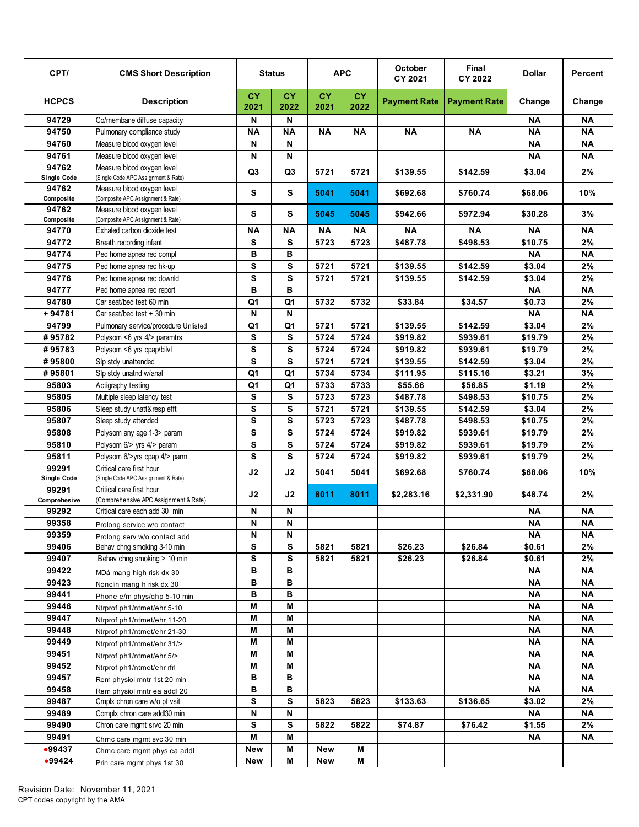| CPT/                  | <b>CMS Short Description</b>                                      |                   | <b>Status</b>  |                   | <b>APC</b> | October<br>CY 2021  | Final<br>CY 2022    | <b>Dollar</b> | Percent   |
|-----------------------|-------------------------------------------------------------------|-------------------|----------------|-------------------|------------|---------------------|---------------------|---------------|-----------|
| <b>HCPCS</b>          | <b>Description</b>                                                | <b>CY</b><br>2021 | CY.<br>2022    | <b>CY</b><br>2021 | СY<br>2022 | <b>Payment Rate</b> | <b>Payment Rate</b> | Change        | Change    |
| 94729                 | Co/membane diffuse capacity                                       | N                 | N              |                   |            |                     |                     | ΝA            | <b>NA</b> |
| 94750                 | Pulmonary compliance study                                        | <b>NA</b>         | <b>NA</b>      | <b>NA</b>         | ΝA         | ΝA                  | <b>NA</b>           | <b>NA</b>     | <b>NA</b> |
| 94760                 | Measure blood oxygen level                                        | N                 | N              |                   |            |                     |                     | <b>NA</b>     | <b>NA</b> |
| 94761                 | Measure blood oxygen level                                        | N                 | N              |                   |            |                     |                     | <b>NA</b>     | <b>NA</b> |
| 94762                 | Measure blood oxygen level                                        | Q <sub>3</sub>    | Q <sub>3</sub> | 5721              | 5721       | \$139.55            | \$142.59            | \$3.04        | 2%        |
| <b>Single Code</b>    | (Single Code APC Assignment & Rate)                               |                   |                |                   |            |                     |                     |               |           |
| 94762<br>Composite    | Measure blood oxygen level<br>(Composite APC Assignment & Rate)   | S                 | S              | 5041              | 5041       | \$692.68            | \$760.74            | \$68.06       | 10%       |
| 94762<br>Composite    | Measure blood oxygen level<br>(Composite APC Assignment & Rate)   | S                 | S              | 5045              | 5045       | \$942.66            | \$972.94            | \$30.28       | 3%        |
| 94770                 | Exhaled carbon dioxide test                                       | ΝA                | <b>NA</b>      | ΝA                | ΝA         | ΝA                  | ΝA                  | ΝA            | <b>NA</b> |
| 94772                 | Breath recording infant                                           | ${\bf s}$         | S              | 5723              | 5723       | \$487.78            | \$498.53            | \$10.75       | $2\%$     |
| 94774                 | Ped home apnea rec compl                                          | B                 | B              |                   |            |                     |                     | <b>NA</b>     | <b>NA</b> |
| 94775                 | Ped home apnea rec hk-up                                          | s                 | s              | 5721              | 5721       | \$139.55            | \$142.59            | \$3.04        | $2\%$     |
| 94776                 | Ped home apnea rec downld                                         | S                 | s              | 5721              | 5721       | \$139.55            | \$142.59            | \$3.04        | 2%        |
| 94777                 | Ped home apnea rec report                                         | B                 | в              |                   |            |                     |                     | ΝA            | <b>NA</b> |
| 94780                 | Car seat/bed test 60 min                                          | Q1                | Q <sub>1</sub> | 5732              | 5732       | \$33.84             | \$34.57             | \$0.73        | $2\%$     |
| $+94781$              | Car seat/bed test + 30 min                                        | N                 | N              |                   |            |                     |                     | <b>NA</b>     | <b>NA</b> |
| 94799                 | Pulmonary service/procedure Unlisted                              | Q <sub>1</sub>    | Q1             | 5721              | 5721       | \$139.55            | \$142.59            | \$3.04        | 2%        |
| #95782                | Polysom <6 yrs 4/> paramtrs                                       | S                 | S              | 5724              | 5724       | \$919.82            | \$939.61            | \$19.79       | $2\%$     |
| #95783                | Polysom <6 yrs cpap/bilvl                                         | S                 | S              | 5724              | 5724       | \$919.82            | \$939.61            | \$19.79       | 2%        |
| #95800                | Slp stdy unattended                                               | S                 | S              | 5721              | 5721       | \$139.55            | \$142.59            | \$3.04        | $2\%$     |
| #95801                | Slp stdy unatnd w/anal                                            | Q <sub>1</sub>    | Q1             | 5734              | 5734       | \$111.95            | \$115.16            | \$3.21        | 3%        |
| 95803                 | Actigraphy testing                                                | Q <sub>1</sub>    | Q1             | 5733              | 5733       | \$55.66             | \$56.85             | \$1.19        | 2%        |
| 95805                 | Multiple sleep latency test                                       | s                 | s              | 5723              | 5723       | \$487.78            | \$498.53            | \$10.75       | 2%        |
| 95806                 | Sleep study unatt&resp efft                                       | S                 | S              | 5721              | 5721       | \$139.55            | \$142.59            | \$3.04        | $2\%$     |
| 95807                 | Sleep study attended                                              | S                 | S              | 5723              | 5723       | \$487.78            | \$498.53            | \$10.75       | $2\%$     |
| 95808                 | Polysom any age 1-3> param                                        | S                 | S              | 5724              | 5724       | \$919.82            | \$939.61            | \$19.79       | 2%        |
| 95810                 | Polysom 6/> yrs 4/> param                                         | S                 | S              | 5724              | 5724       | \$919.82            | \$939.61            | \$19.79       | $2\%$     |
| 95811                 | Polysom 6/>yrs cpap 4/> parm                                      | S                 | S              | 5724              | 5724       | \$919.82            | \$939.61            | \$19.79       | 2%        |
| 99291                 | Critical care first hour                                          | J2                | J2             | 5041              | 5041       | \$692.68            | \$760.74            | \$68.06       | 10%       |
| Single Code           | (Single Code APC Assignment & Rate)                               |                   |                |                   |            |                     |                     |               |           |
| 99291<br>Comprehesive | Critical care first hour<br>(Comprehensive APC Assignment & Rate) | J2                | J2             | 8011              | 8011       | \$2,283.16          | \$2,331.90          | \$48.74       | 2%        |
| 99292                 | Critical care each add 30 min                                     | N                 | N              |                   |            |                     |                     | <b>NA</b>     | <b>NA</b> |
| 99358                 | Prolong service w/o contact                                       | N                 | N              |                   |            |                     |                     | <b>NA</b>     | <b>NA</b> |
| 99359                 | Prolong serv w/o contact add                                      | N                 | N              |                   |            |                     |                     | NA.           | ΝA        |
| 99406                 | Behav chng smoking 3-10 min                                       | s                 | s              | 5821              | 5821       | \$26.23             | \$26.84             | \$0.61        | 2%        |
| 99407                 | Behav chng smoking > 10 min                                       | S                 | s              | 5821              | 5821       | \$26.23             | \$26.84             | \$0.61        | 2%        |
| 99422                 | MDá mang high risk dx 30                                          | в                 | в              |                   |            |                     |                     | ΝA            | ΝA        |
| 99423                 | Nonclin mang h risk dx 30                                         | В                 | в              |                   |            |                     |                     | <b>NA</b>     | ΝA        |
| 99441                 | Phone e/m phys/qhp 5-10 min                                       | В                 | В              |                   |            |                     |                     | ΝA            | ΝA        |
| 99446                 | Ntrprof ph1/ntmet/ehr 5-10                                        | M                 | M              |                   |            |                     |                     | ΝA            | ΝA        |
| 99447                 | Ntrprof ph1/ntmet/ehr 11-20                                       | M                 | Μ              |                   |            |                     |                     | <b>NA</b>     | <b>NA</b> |
| 99448                 | Ntrprof ph1/ntmet/ehr 21-30                                       | M                 | M              |                   |            |                     |                     | <b>NA</b>     | ΝA        |
| 99449                 | Ntrprof ph1/ntmet/ehr 31/>                                        | Μ                 | Μ              |                   |            |                     |                     | <b>NA</b>     | <b>NA</b> |
| 99451                 | Ntrprof ph1/ntmet/ehr 5/>                                         | M                 | Μ              |                   |            |                     |                     | <b>NA</b>     | ΝA        |
| 99452                 | Ntrprof ph1/ntmet/ehr rfrl                                        | Μ                 | Μ              |                   |            |                     |                     | <b>NA</b>     | ΝA        |
| 99457                 | Rem physiol mntr 1st 20 min                                       | В                 | в              |                   |            |                     |                     | <b>NA</b>     | ΝA        |
| 99458                 | Rem physiol mntr ea addl 20                                       | в                 | в              |                   |            |                     |                     | ΝA            | ΝA        |
| 99487                 | Cmplx chron care w/o pt vsit                                      | s                 | s              | 5823              | 5823       | \$133.63            | \$136.65            | \$3.02        | 2%        |
| 99489                 | Complx chron care addl30 min                                      | N                 | N              |                   |            |                     |                     | ΝA            | ΝA        |
| 99490                 | Chron care mgmt srvc 20 min                                       | s                 | s              | 5822              | 5822       | \$74.87             | \$76.42             | \$1.55        | 2%        |
| 99491                 | Chrnc care mgmt svc 30 min                                        | Μ                 | Μ              |                   |            |                     |                     | ΝA            | <b>NA</b> |
| •99437                | Chrnc care mgmt phys ea addl                                      | <b>New</b>        | Μ              | New               | M          |                     |                     |               |           |
| •99424                | Prin care mgmt phys 1st 30                                        | New               | М              | New               | М          |                     |                     |               |           |